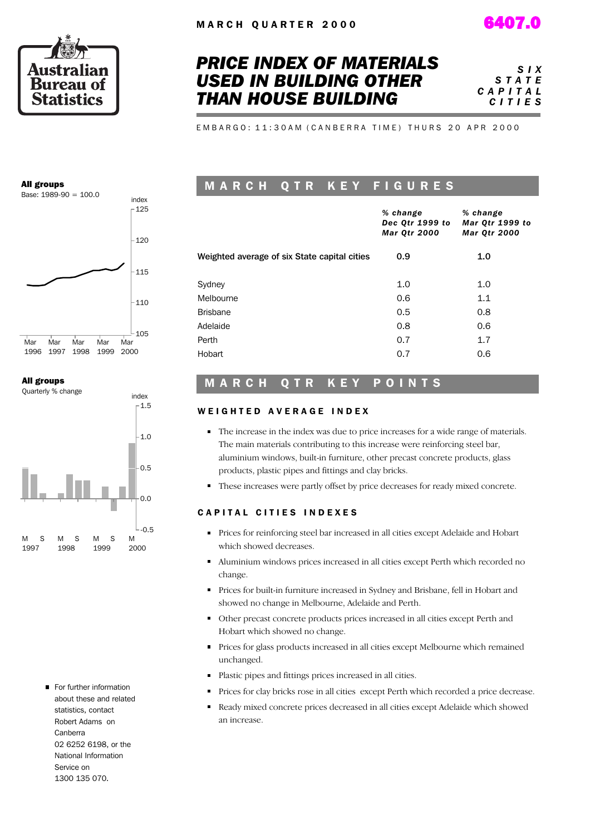



## *PRICE INDEX OF MATERIALS USED IN BUILDING OTHER THAN HOUSE BUILDING*

*S I X S T A T E C A P I T A L C I T I E S*

E M B A R G O : 11:30 A M ( C A N B E R R A T I M E ) T H U R S 20 A P R 2000

#### All groups



#### All groups



For further information about these and related statistics, contact Robert Adams on Canberra 02 6252 6198, or the National Information Service on 1300 135 070.

## M A R C H Q T R K E Y F I G U R E S

|                                              | % change<br>Dec Qtr 1999 to<br><b>Mar Qtr 2000</b> | % change<br>Mar Qtr 1999 to<br><b>Mar Qtr 2000</b> |
|----------------------------------------------|----------------------------------------------------|----------------------------------------------------|
| Weighted average of six State capital cities | 0.9                                                | 1.0                                                |
| Sydney                                       | 1.0                                                | 1.0                                                |
| Melbourne                                    | 0.6                                                | 1.1                                                |
| <b>Brisbane</b>                              | 0.5                                                | 0.8                                                |
| Adelaide                                     | 0.8                                                | 0.6                                                |
| Perth                                        | 0.7                                                | 1.7                                                |
| Hobart                                       | 0.7                                                | 0.6                                                |
|                                              |                                                    |                                                    |

## MARCH QTR KEY POINTS

## WEIGHTED AVERAGE INDEX

- The increase in the index was due to price increases for a wide range of materials. The main materials contributing to this increase were reinforcing steel bar, aluminium windows, built-in furniture, other precast concrete products, glass products, plastic pipes and fittings and clay bricks.
- These increases were partly offset by price decreases for ready mixed concrete.  $\blacksquare$

## CAPITAL CITIES INDEXES

- Prices for reinforcing steel bar increased in all cities except Adelaide and Hobart which showed decreases.
- Aluminium windows prices increased in all cities except Perth which recorded no change.
- Prices for built-in furniture increased in Sydney and Brisbane, fell in Hobart and showed no change in Melbourne, Adelaide and Perth.
- Other precast concrete products prices increased in all cities except Perth and Hobart which showed no change.
- **Prices for glass products increased in all cities except Melbourne which remained** unchanged.
- Plastic pipes and fittings prices increased in all cities.
- Prices for clay bricks rose in all cities except Perth which recorded a price decrease.
- Ready mixed concrete prices decreased in all cities except Adelaide which showed an increase.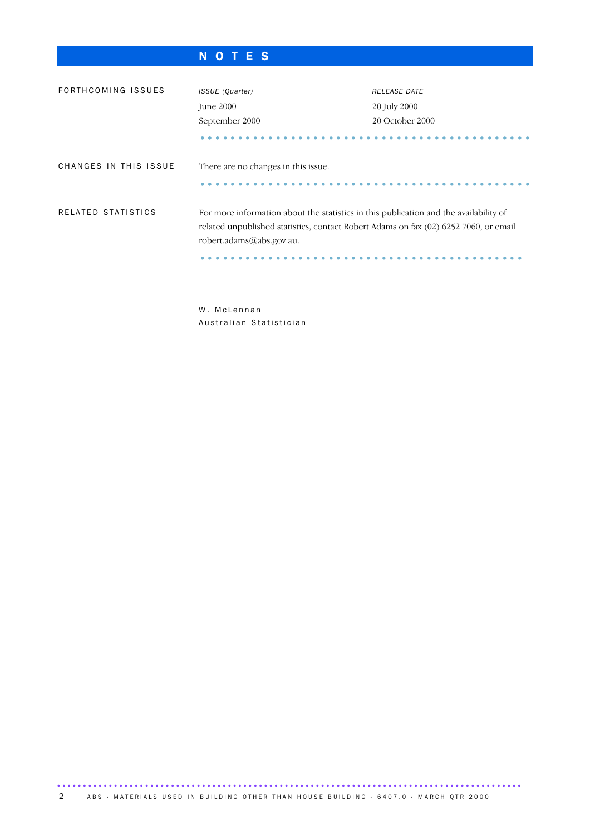## N O T E S

| FORTHCOMING ISSUES    | ISSUE (Quarter)                                                                                                                                                                                           | <b>RELEASE DATE</b> |
|-----------------------|-----------------------------------------------------------------------------------------------------------------------------------------------------------------------------------------------------------|---------------------|
|                       | June 2000                                                                                                                                                                                                 | 20 July 2000        |
|                       | September 2000                                                                                                                                                                                            | 20 October 2000     |
|                       |                                                                                                                                                                                                           |                     |
| CHANGES IN THIS ISSUE | There are no changes in this issue.                                                                                                                                                                       |                     |
|                       |                                                                                                                                                                                                           |                     |
| RELATED STATISTICS    | For more information about the statistics in this publication and the availability of<br>related unpublished statistics, contact Robert Adams on fax (02) 6252 7060, or email<br>robert.adams@abs.gov.au. |                     |

W. McLennan Australian Statistician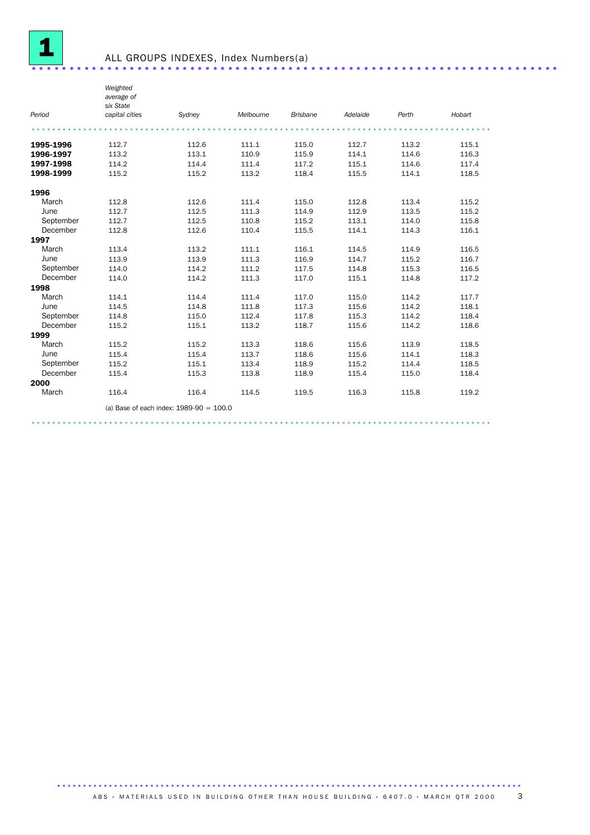

|           | Weighted<br>average of<br>six State |                                           |           |                 |          |       |        |
|-----------|-------------------------------------|-------------------------------------------|-----------|-----------------|----------|-------|--------|
| Period    | capital cities                      | Sydney                                    | Melbourne | <b>Brisbane</b> | Adelaide | Perth | Hobart |
|           |                                     |                                           |           |                 |          |       |        |
| 1995-1996 | 112.7                               | 112.6                                     | 111.1     | 115.0           | 112.7    | 113.2 | 115.1  |
| 1996-1997 | 113.2                               | 113.1                                     | 110.9     | 115.9           | 114.1    | 114.6 | 116.3  |
| 1997-1998 | 114.2                               | 114.4                                     | 111.4     | 117.2           | 115.1    | 114.6 | 117.4  |
| 1998-1999 | 115.2                               | 115.2                                     | 113.2     | 118.4           | 115.5    | 114.1 | 118.5  |
| 1996      |                                     |                                           |           |                 |          |       |        |
| March     | 112.8                               | 112.6                                     | 111.4     | 115.0           | 112.8    | 113.4 | 115.2  |
| June      | 112.7                               | 112.5                                     | 111.3     | 114.9           | 112.9    | 113.5 | 115.2  |
| September | 112.7                               | 112.5                                     | 110.8     | 115.2           | 113.1    | 114.0 | 115.8  |
| December  | 112.8                               | 112.6                                     | 110.4     | 115.5           | 114.1    | 114.3 | 116.1  |
| 1997      |                                     |                                           |           |                 |          |       |        |
| March     | 113.4                               | 113.2                                     | 111.1     | 116.1           | 114.5    | 114.9 | 116.5  |
| June      | 113.9                               | 113.9                                     | 111.3     | 116.9           | 114.7    | 115.2 | 116.7  |
| September | 114.0                               | 114.2                                     | 111.2     | 117.5           | 114.8    | 115.3 | 116.5  |
| December  | 114.0                               | 114.2                                     | 111.3     | 117.0           | 115.1    | 114.8 | 117.2  |
| 1998      |                                     |                                           |           |                 |          |       |        |
| March     | 114.1                               | 114.4                                     | 111.4     | 117.0           | 115.0    | 114.2 | 117.7  |
| June      | 114.5                               | 114.8                                     | 111.8     | 117.3           | 115.6    | 114.2 | 118.1  |
| September | 114.8                               | 115.0                                     | 112.4     | 117.8           | 115.3    | 114.2 | 118.4  |
| December  | 115.2                               | 115.1                                     | 113.2     | 118.7           | 115.6    | 114.2 | 118.6  |
| 1999      |                                     |                                           |           |                 |          |       |        |
| March     | 115.2                               | 115.2                                     | 113.3     | 118.6           | 115.6    | 113.9 | 118.5  |
| June      | 115.4                               | 115.4                                     | 113.7     | 118.6           | 115.6    | 114.1 | 118.3  |
| September | 115.2                               | 115.1                                     | 113.4     | 118.9           | 115.2    | 114.4 | 118.5  |
| December  | 115.4                               | 115.3                                     | 113.8     | 118.9           | 115.4    | 115.0 | 118.4  |
| 2000      |                                     |                                           |           |                 |          |       |        |
| March     | 116.4                               | 116.4                                     | 114.5     | 119.5           | 116.3    | 115.8 | 119.2  |
|           |                                     | (a) Base of each index: $1989-90 = 100.0$ |           |                 |          |       |        |
|           |                                     |                                           |           |                 |          |       |        |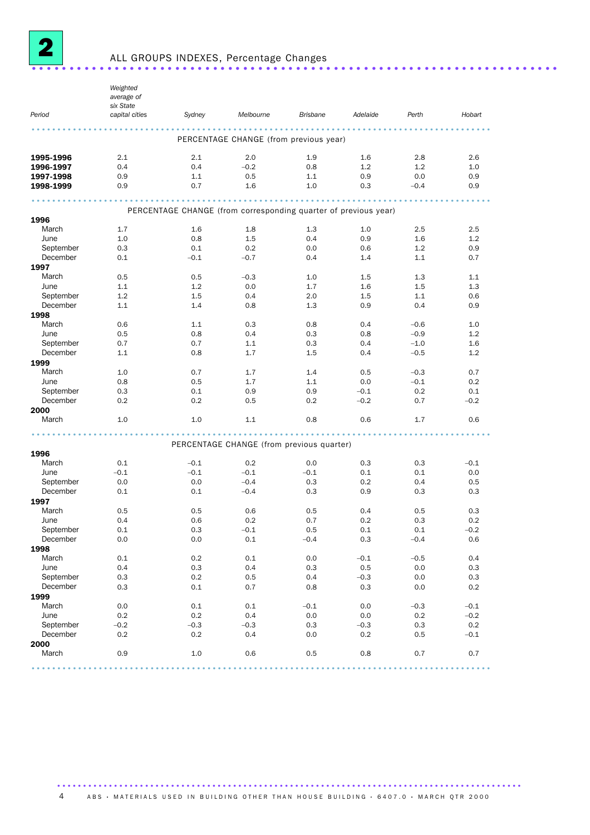

## ALL GROUPS INDEXES, Percentage Changes ......................................................................

*Period Weighted average of six State capital cities Sydney Melbourne Brisbane Adelaide Perth Hobart* ......................................................................................... PERCENTAGE CHANGE (from previous year) **1995-1996** 2.1 2.1 2.0 1.9 1.6 2.8 2.6 **1996-1997** 0.4 0.4 –0.2 0.8 1.2 1.2 1.0 **1997-1998** 0.9 1.1 0.5 1.1 0.9 0.0 0.9 **1998-1999** 0.9 0.7 1.6 1.0 0.3 –0.4 0.9  $1998-1999$  0.9 0.7 1.6 1.0 0.3  $-0.4$  0.9 0.9 PERCENTAGE CHANGE (from corresponding quarter of previous year) 1996 March 1.7 1.6 1.8 1.3 1.0 2.5 2.5 June 1.0 0.8 1.5 0.4 0.9 1.6 1.2 September 0.3 0.1 0.2 0.0 0.6 1.2 0.9 December 0.1 –0.1 –0.7 0.4 1.4 1.1 0.7 1997 March 0.5 0.5 – 0.3 1.0 1.5 1.3 1.1 June 1.1 1.2 0.0 1.7 1.6 1.5 1.3 September 1.2 1.5 0.4 2.0 1.5 1.1 0.6 December 1.1 1.4 0.8 1.3 0.9 0.4 0.9 1998 March 0.6 1.1 0.3 0.8 0.4 –0.6 1.0 June 0.5 0.8 0.4 0.3 0.8 –0.9 1.2 September 0.7 0.7 1.1 0.3 0.4 –1.0 1.6 December 1.1 0.8 1.7 1.5 0.4 – 0.5 1.2 **1999**<br>March March 1.0 0.7 1.7 1.4 0.5 –0.3 0.7 June 0.8 0.5 1.7 1.1 0.0 –0.1 0.2 September 0.3 0.1 0.9 0.9 –0.1 0.2 0.1 December 0.2 0.2 0.5 0.2 –0.2 0.7 –0.2 **2000**<br>March March 1.0 1.0 1.1 0.8 0.6 1.7 0.6 ......................................................................................... PERCENTAGE CHANGE (from previous quarter) **1996**<br>March March 0.1 –0.1 0.2 0.0 0.3 0.3 –0.1 June –0.1 –0.1 –0.1 –0.1 0.1 0.1 0.0 September 0.0 0.0 –0.4 0.3 0.2 0.4 0.5 December 0.1 0.1 –0.4 0.3 0.9 0.3 0.3  $1997$ <br>March March 0.5 0.5 0.6 0.5 0.4 0.5 0.3 June 0.4 0.6 0.2 0.7 0.2 0.3 0.2 September 0.1 0.3 –0.1 0.5 0.1 0.1 –0.2 December 0.0 0.0 0.1 –0.4 0.3 –0.4 0.6 **1998**<br>March March 0.1 0.2 0.1 0.0 –0.1 –0.5 0.4 June 0.4 0.3 0.4 0.3 0.5 0.0 0.3 September 0.3 0.2 0.5 0.4 –0.3 0.0 0.3 December 0.3 0.1 0.7 0.8 0.3 0.0 0.2 1999 March 0.0 0.1 0.1 –0.1 0.0 –0.3 –0.1 June 0.2 0.2 0.4 0.0 0.0 0.2 –0.2 September –0.2 –0.3 –0.3 0.3 –0.3 0.3 0.2 December 0.2 0.2 0.4 0.0 0.2 0.5 –0.1 2000 March 0.9 1.0 0.6 0.5 0.8 0.7 0.7 .........................................................................................

#### .......................................................................................... ABS • MATERIALS USED IN BUILDING OTHER THAN HOUSE BUILDING • 6407.0 • MARCH QTR 2000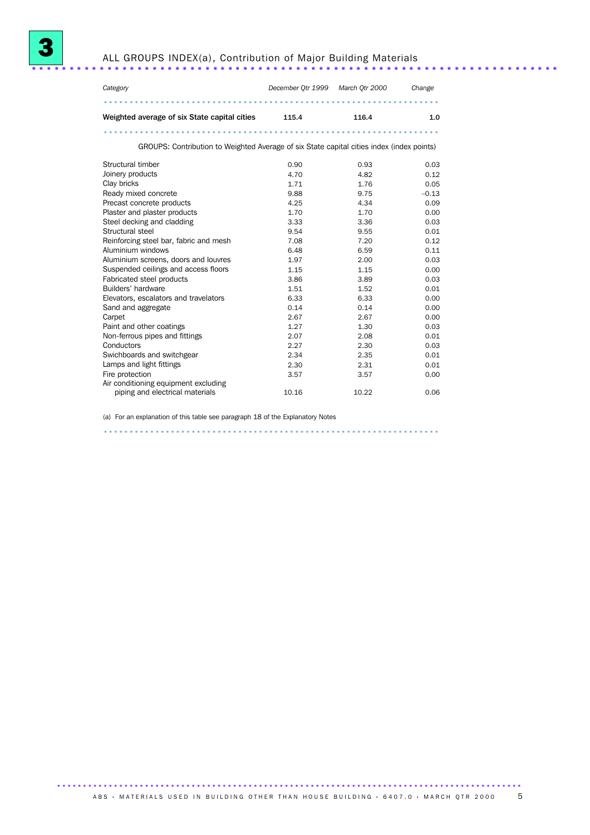



| Category                                                                                  | December Qtr 1999 | March Otr 2000 | Change  |
|-------------------------------------------------------------------------------------------|-------------------|----------------|---------|
|                                                                                           |                   |                |         |
| Weighted average of six State capital cities                                              | 115.4             | 116.4          | 1.0     |
|                                                                                           |                   |                |         |
| GROUPS: Contribution to Weighted Average of six State capital cities index (index points) |                   |                |         |
| Structural timber                                                                         | 0.90              | 0.93           | 0.03    |
| Joinery products                                                                          | 4.70              | 4.82           | 0.12    |
| Clay bricks                                                                               | 1.71              | 1.76           | 0.05    |
| Ready mixed concrete                                                                      | 9.88              | 9.75           | $-0.13$ |
| Precast concrete products                                                                 | 4.25              | 4.34           | 0.09    |
| Plaster and plaster products                                                              | 1.70              | 1.70           | 0.00    |
| Steel decking and cladding                                                                | 3.33              | 3.36           | 0.03    |
| Structural steel                                                                          | 9.54              | 9.55           | 0.01    |
| Reinforcing steel bar, fabric and mesh                                                    | 7.08              | 7.20           | 0.12    |
| Aluminium windows                                                                         | 6.48              | 6.59           | 0.11    |
| Aluminium screens, doors and louvres                                                      | 1.97              | 2.00           | 0.03    |
| Suspended ceilings and access floors                                                      | 1.15              | 1.15           | 0.00    |
| Fabricated steel products                                                                 | 3.86              | 3.89           | 0.03    |
| Builders' hardware                                                                        | 1.51              | 1.52           | 0.01    |
| Elevators, escalators and travelators                                                     | 6.33              | 6.33           | 0.00    |
| Sand and aggregate                                                                        | 0.14              | 0.14           | 0.00    |

Sand and aggregate 0.14 0.14 0.00 Carpet 2.67 2.67 0.00 Paint and other coatings 1.27 1.30 0.03 Non-ferrous pipes and fittings 2.07 2.08 0.01<br>
Conductors 2.27 2.30 0.03<br>
Swichboards and switchgear 2.34 2.35 0.01

Swichboards and switchgear <br>  $2.34$  2.35 0.01<br>  $2.30$  2.31 0.01

2.30 0.03<br>2.35 0.01

3.57 3.57 0.00

piping and electrical materials 10.16 10.22 0.06

(a) For an explanation of this table see paragraph 18 of the Explanatory Notes .................................................................

Lamps and light fittings **2.30**<br>
Fire protection 2.57

Fire protection

Air conditioning equipment excluding<br>piping and electrical materials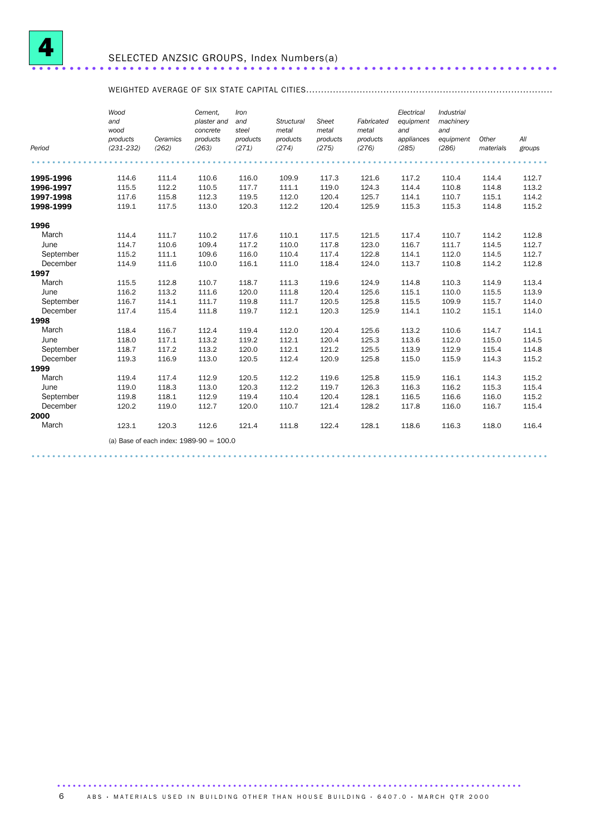

## WEIGHTED AVERAGE OF SIX STATE CAPITAL CITIES...................................................................................

|           | Wood<br>and<br>wood       |                   | Cement,<br>plaster and<br>concrete        | Iron<br>and<br>steel | Structural<br>metal | Sheet<br>metal    | Fabricated<br>metal | Electrical<br>equipment<br>and | Industrial<br>machinery<br>and |                    |               |
|-----------|---------------------------|-------------------|-------------------------------------------|----------------------|---------------------|-------------------|---------------------|--------------------------------|--------------------------------|--------------------|---------------|
| Period    | products<br>$(231 - 232)$ | Ceramics<br>(262) | products<br>(263)                         | products<br>(271)    | products<br>(274)   | products<br>(275) | products<br>(276)   | appliances<br>(285)            | equipment<br>(286)             | Other<br>materials | All<br>groups |
|           |                           |                   |                                           |                      |                     |                   |                     |                                |                                |                    |               |
| 1995-1996 | 114.6                     | 111.4             | 110.6                                     | 116.0                | 109.9               | 117.3             | 121.6               | 117.2                          | 110.4                          | 114.4              | 112.7         |
| 1996-1997 | 115.5                     | 112.2             | 110.5                                     | 117.7                | 111.1               | 119.0             | 124.3               | 114.4                          | 110.8                          | 114.8              | 113.2         |
| 1997-1998 | 117.6                     | 115.8             | 112.3                                     | 119.5                | 112.0               | 120.4             | 125.7               | 114.1                          | 110.7                          | 115.1              | 114.2         |
| 1998-1999 | 119.1                     | 117.5             | 113.0                                     | 120.3                | 112.2               | 120.4             | 125.9               | 115.3                          | 115.3                          | 114.8              | 115.2         |
| 1996      |                           |                   |                                           |                      |                     |                   |                     |                                |                                |                    |               |
| March     | 114.4                     | 111.7             | 110.2                                     | 117.6                | 110.1               | 117.5             | 121.5               | 117.4                          | 110.7                          | 114.2              | 112.8         |
| June      | 114.7                     | 110.6             | 109.4                                     | 117.2                | 110.0               | 117.8             | 123.0               | 116.7                          | 111.7                          | 114.5              | 112.7         |
| September | 115.2                     | 111.1             | 109.6                                     | 116.0                | 110.4               | 117.4             | 122.8               | 114.1                          | 112.0                          | 114.5              | 112.7         |
| December  | 114.9                     | 111.6             | 110.0                                     | 116.1                | 111.0               | 118.4             | 124.0               | 113.7                          | 110.8                          | 114.2              | 112.8         |
| 1997      |                           |                   |                                           |                      |                     |                   |                     |                                |                                |                    |               |
| March     | 115.5                     | 112.8             | 110.7                                     | 118.7                | 111.3               | 119.6             | 124.9               | 114.8                          | 110.3                          | 114.9              | 113.4         |
| June      | 116.2                     | 113.2             | 111.6                                     | 120.0                | 111.8               | 120.4             | 125.6               | 115.1                          | 110.0                          | 115.5              | 113.9         |
| September | 116.7                     | 114.1             | 111.7                                     | 119.8                | 111.7               | 120.5             | 125.8               | 115.5                          | 109.9                          | 115.7              | 114.0         |
| December  | 117.4                     | 115.4             | 111.8                                     | 119.7                | 112.1               | 120.3             | 125.9               | 114.1                          | 110.2                          | 115.1              | 114.0         |
| 1998      |                           |                   |                                           |                      |                     |                   |                     |                                |                                |                    |               |
| March     | 118.4                     | 116.7             | 112.4                                     | 119.4                | 112.0               | 120.4             | 125.6               | 113.2                          | 110.6                          | 114.7              | 114.1         |
| June      | 118.0                     | 117.1             | 113.2                                     | 119.2                | 112.1               | 120.4             | 125.3               | 113.6                          | 112.0                          | 115.0              | 114.5         |
| September | 118.7                     | 117.2             | 113.2                                     | 120.0                | 112.1               | 121.2             | 125.5               | 113.9                          | 112.9                          | 115.4              | 114.8         |
| December  | 119.3                     | 116.9             | 113.0                                     | 120.5                | 112.4               | 120.9             | 125.8               | 115.0                          | 115.9                          | 114.3              | 115.2         |
| 1999      |                           |                   |                                           |                      |                     |                   |                     |                                |                                |                    |               |
| March     | 119.4                     | 117.4             | 112.9                                     | 120.5                | 112.2               | 119.6             | 125.8               | 115.9                          | 116.1                          | 114.3              | 115.2         |
| June      | 119.0                     | 118.3             | 113.0                                     | 120.3                | 112.2               | 119.7             | 126.3               | 116.3                          | 116.2                          | 115.3              | 115.4         |
| September | 119.8                     | 118.1             | 112.9                                     | 119.4                | 110.4               | 120.4             | 128.1               | 116.5                          | 116.6                          | 116.0              | 115.2         |
| December  | 120.2                     | 119.0             | 112.7                                     | 120.0                | 110.7               | 121.4             | 128.2               | 117.8                          | 116.0                          | 116.7              | 115.4         |
| 2000      |                           |                   |                                           |                      |                     |                   |                     |                                |                                |                    |               |
| March     | 123.1                     | 120.3             | 112.6                                     | 121.4                | 111.8               | 122.4             | 128.1               | 118.6                          | 116.3                          | 118.0              | 116.4         |
|           |                           |                   | (a) Base of each index: $1989-90 = 100.0$ |                      |                     |                   |                     |                                |                                |                    |               |
|           |                           |                   |                                           |                      |                     |                   |                     |                                |                                |                    |               |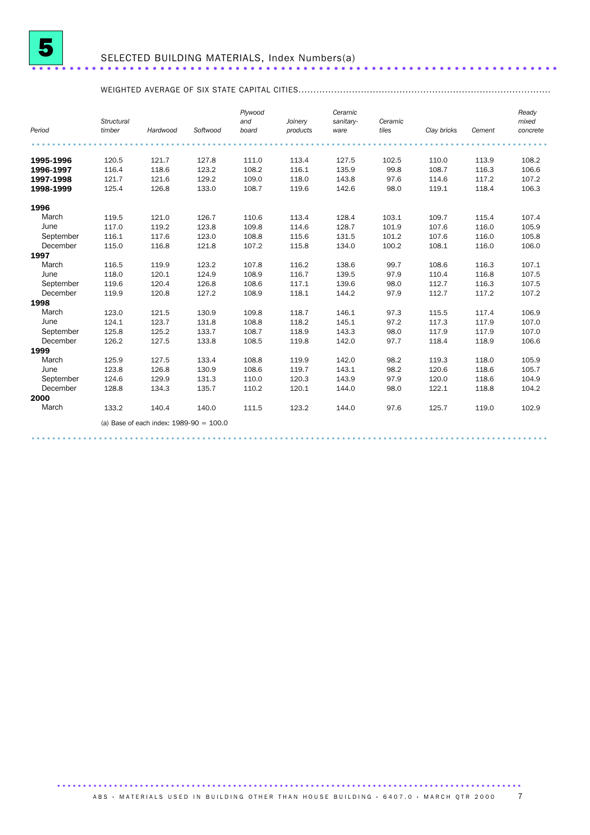

## SELECTED BUILDING MATERIALS, Index Numbers(a) ......................................................................

## WEIGHTED AVERAGE OF SIX STATE CAPITAL CITIES.....................................................................................

| Period    | Structural<br>timber | Hardwood                                  | Softwood | Plywood<br>and<br>board | Joinery<br>products | Ceramic<br>sanitary-<br>ware | Ceramic<br>tiles | Clay bricks | Cement | Ready<br>mixed<br>concrete |
|-----------|----------------------|-------------------------------------------|----------|-------------------------|---------------------|------------------------------|------------------|-------------|--------|----------------------------|
|           |                      |                                           |          |                         |                     |                              |                  |             |        |                            |
|           |                      |                                           |          |                         |                     |                              |                  |             |        |                            |
| 1995-1996 | 120.5                | 121.7                                     | 127.8    | 111.0                   | 113.4               | 127.5                        | 102.5            | 110.0       | 113.9  | 108.2                      |
| 1996-1997 | 116.4                | 118.6                                     | 123.2    | 108.2                   | 116.1               | 135.9                        | 99.8             | 108.7       | 116.3  | 106.6                      |
| 1997-1998 | 121.7                | 121.6                                     | 129.2    | 109.0                   | 118.0               | 143.8                        | 97.6             | 114.6       | 117.2  | 107.2                      |
| 1998-1999 | 125.4                | 126.8                                     | 133.0    | 108.7                   | 119.6               | 142.6                        | 98.0             | 119.1       | 118.4  | 106.3                      |
| 1996      |                      |                                           |          |                         |                     |                              |                  |             |        |                            |
| March     | 119.5                | 121.0                                     | 126.7    | 110.6                   | 113.4               | 128.4                        | 103.1            | 109.7       | 115.4  | 107.4                      |
| June      | 117.0                | 119.2                                     | 123.8    | 109.8                   | 114.6               | 128.7                        | 101.9            | 107.6       | 116.0  | 105.9                      |
| September | 116.1                | 117.6                                     | 123.0    | 108.8                   | 115.6               | 131.5                        | 101.2            | 107.6       | 116.0  | 105.8                      |
| December  | 115.0                | 116.8                                     | 121.8    | 107.2                   | 115.8               | 134.0                        | 100.2            | 108.1       | 116.0  | 106.0                      |
| 1997      |                      |                                           |          |                         |                     |                              |                  |             |        |                            |
| March     | 116.5                | 119.9                                     | 123.2    | 107.8                   | 116.2               | 138.6                        | 99.7             | 108.6       | 116.3  | 107.1                      |
| June      | 118.0                | 120.1                                     | 124.9    | 108.9                   | 116.7               | 139.5                        | 97.9             | 110.4       | 116.8  | 107.5                      |
| September | 119.6                | 120.4                                     | 126.8    | 108.6                   | 117.1               | 139.6                        | 98.0             | 112.7       | 116.3  | 107.5                      |
| December  | 119.9                | 120.8                                     | 127.2    | 108.9                   | 118.1               | 144.2                        | 97.9             | 112.7       | 117.2  | 107.2                      |
| 1998      |                      |                                           |          |                         |                     |                              |                  |             |        |                            |
| March     | 123.0                | 121.5                                     | 130.9    | 109.8                   | 118.7               | 146.1                        | 97.3             | 115.5       | 117.4  | 106.9                      |
| June      | 124.1                | 123.7                                     | 131.8    | 108.8                   | 118.2               | 145.1                        | 97.2             | 117.3       | 117.9  | 107.0                      |
| September | 125.8                | 125.2                                     | 133.7    | 108.7                   | 118.9               | 143.3                        | 98.0             | 117.9       | 117.9  | 107.0                      |
| December  | 126.2                | 127.5                                     | 133.8    | 108.5                   | 119.8               | 142.0                        | 97.7             | 118.4       | 118.9  | 106.6                      |
| 1999      |                      |                                           |          |                         |                     |                              |                  |             |        |                            |
| March     | 125.9                | 127.5                                     | 133.4    | 108.8                   | 119.9               | 142.0                        | 98.2             | 119.3       | 118.0  | 105.9                      |
| June      | 123.8                | 126.8                                     | 130.9    | 108.6                   | 119.7               | 143.1                        | 98.2             | 120.6       | 118.6  | 105.7                      |
| September | 124.6                | 129.9                                     | 131.3    | 110.0                   | 120.3               | 143.9                        | 97.9             | 120.0       | 118.6  | 104.9                      |
| December  | 128.8                | 134.3                                     | 135.7    | 110.2                   | 120.1               | 144.0                        | 98.0             | 122.1       | 118.8  | 104.2                      |
| 2000      |                      |                                           |          |                         |                     |                              |                  |             |        |                            |
| March     | 133.2                | 140.4                                     | 140.0    | 111.5                   | 123.2               | 144.0                        | 97.6             | 125.7       | 119.0  | 102.9                      |
|           |                      | (a) Base of each index: $1989-90 = 100.0$ |          |                         |                     |                              |                  |             |        |                            |
|           |                      |                                           |          |                         |                     |                              |                  |             |        |                            |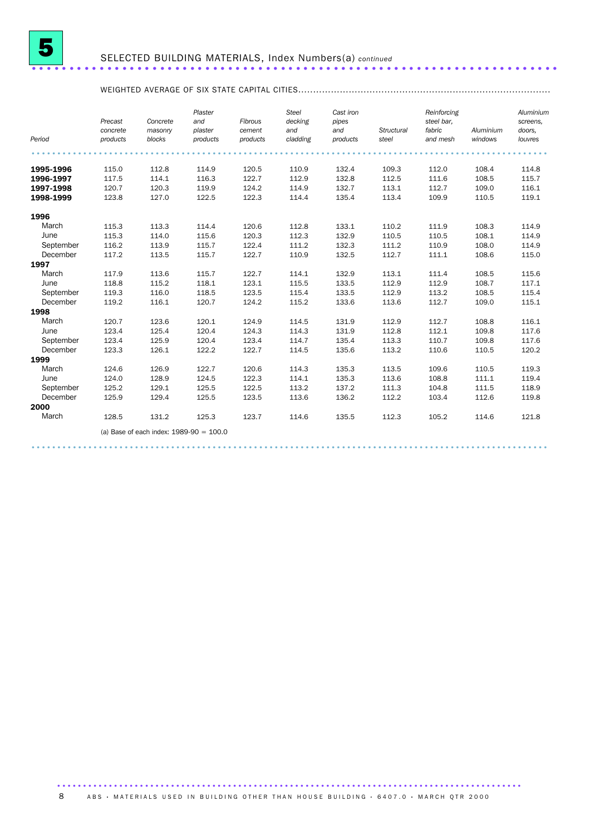

### SELECTED BUILDING MATERIALS, Index Numbers(a) *continued* ......................................................................

## WEIGHTED AVERAGE OF SIX STATE CAPITAL CITIES.....................................................................................

|           | Precast<br>concrete | Concrete<br>masonry                       | Plaster<br>and<br>plaster | Fibrous<br>cement | <b>Steel</b><br>decking<br>and | Cast iron<br>pipes<br>and | Structural | Reinforcing<br>steel bar.<br>fabric | Aluminium | Aluminium<br>screens,<br>doors, |
|-----------|---------------------|-------------------------------------------|---------------------------|-------------------|--------------------------------|---------------------------|------------|-------------------------------------|-----------|---------------------------------|
| Period    | products            | blocks                                    | products                  | products          | cladding                       | products                  | steel      | and mesh                            | windows   | louvres                         |
|           |                     |                                           |                           |                   |                                |                           |            |                                     |           |                                 |
| 1995-1996 | 115.0               | 112.8                                     | 114.9                     | 120.5             | 110.9                          | 132.4                     | 109.3      | 112.0                               | 108.4     | 114.8                           |
| 1996-1997 | 117.5               | 114.1                                     | 116.3                     | 122.7             | 112.9                          | 132.8                     | 112.5      | 111.6                               | 108.5     | 115.7                           |
| 1997-1998 | 120.7               | 120.3                                     | 119.9                     | 124.2             | 114.9                          | 132.7                     | 113.1      | 112.7                               | 109.0     | 116.1                           |
| 1998-1999 | 123.8               | 127.0                                     | 122.5                     | 122.3             | 114.4                          | 135.4                     | 113.4      | 109.9                               | 110.5     | 119.1                           |
| 1996      |                     |                                           |                           |                   |                                |                           |            |                                     |           |                                 |
| March     | 115.3               | 113.3                                     | 114.4                     | 120.6             | 112.8                          | 133.1                     | 110.2      | 111.9                               | 108.3     | 114.9                           |
| June      | 115.3               | 114.0                                     | 115.6                     | 120.3             | 112.3                          | 132.9                     | 110.5      | 110.5                               | 108.1     | 114.9                           |
| September | 116.2               | 113.9                                     | 115.7                     | 122.4             | 111.2                          | 132.3                     | 111.2      | 110.9                               | 108.0     | 114.9                           |
| December  | 117.2               | 113.5                                     | 115.7                     | 122.7             | 110.9                          | 132.5                     | 112.7      | 111.1                               | 108.6     | 115.0                           |
| 1997      |                     |                                           |                           |                   |                                |                           |            |                                     |           |                                 |
| March     | 117.9               | 113.6                                     | 115.7                     | 122.7             | 114.1                          | 132.9                     | 113.1      | 111.4                               | 108.5     | 115.6                           |
| June      | 118.8               | 115.2                                     | 118.1                     | 123.1             | 115.5                          | 133.5                     | 112.9      | 112.9                               | 108.7     | 117.1                           |
| September | 119.3               | 116.0                                     | 118.5                     | 123.5             | 115.4                          | 133.5                     | 112.9      | 113.2                               | 108.5     | 115.4                           |
| December  | 119.2               | 116.1                                     | 120.7                     | 124.2             | 115.2                          | 133.6                     | 113.6      | 112.7                               | 109.0     | 115.1                           |
| 1998      |                     |                                           |                           |                   |                                |                           |            |                                     |           |                                 |
| March     | 120.7               | 123.6                                     | 120.1                     | 124.9             | 114.5                          | 131.9                     | 112.9      | 112.7                               | 108.8     | 116.1                           |
| June      | 123.4               | 125.4                                     | 120.4                     | 124.3             | 114.3                          | 131.9                     | 112.8      | 112.1                               | 109.8     | 117.6                           |
| September | 123.4               | 125.9                                     | 120.4                     | 123.4             | 114.7                          | 135.4                     | 113.3      | 110.7                               | 109.8     | 117.6                           |
| December  | 123.3               | 126.1                                     | 122.2                     | 122.7             | 114.5                          | 135.6                     | 113.2      | 110.6                               | 110.5     | 120.2                           |
| 1999      |                     |                                           |                           |                   |                                |                           |            |                                     |           |                                 |
| March     | 124.6               | 126.9                                     | 122.7                     | 120.6             | 114.3                          | 135.3                     | 113.5      | 109.6                               | 110.5     | 119.3                           |
| June      | 124.0               | 128.9                                     | 124.5                     | 122.3             | 114.1                          | 135.3                     | 113.6      | 108.8                               | 111.1     | 119.4                           |
| September | 125.2               | 129.1                                     | 125.5                     | 122.5             | 113.2                          | 137.2                     | 111.3      | 104.8                               | 111.5     | 118.9                           |
| December  | 125.9               | 129.4                                     | 125.5                     | 123.5             | 113.6                          | 136.2                     | 112.2      | 103.4                               | 112.6     | 119.8                           |
| 2000      |                     |                                           |                           |                   |                                |                           |            |                                     |           |                                 |
| March     | 128.5               | 131.2                                     | 125.3                     | 123.7             | 114.6                          | 135.5                     | 112.3      | 105.2                               | 114.6     | 121.8                           |
|           |                     | (a) Base of each index: $1989-90 = 100.0$ |                           |                   |                                |                           |            |                                     |           |                                 |
|           |                     |                                           |                           |                   |                                |                           |            |                                     |           |                                 |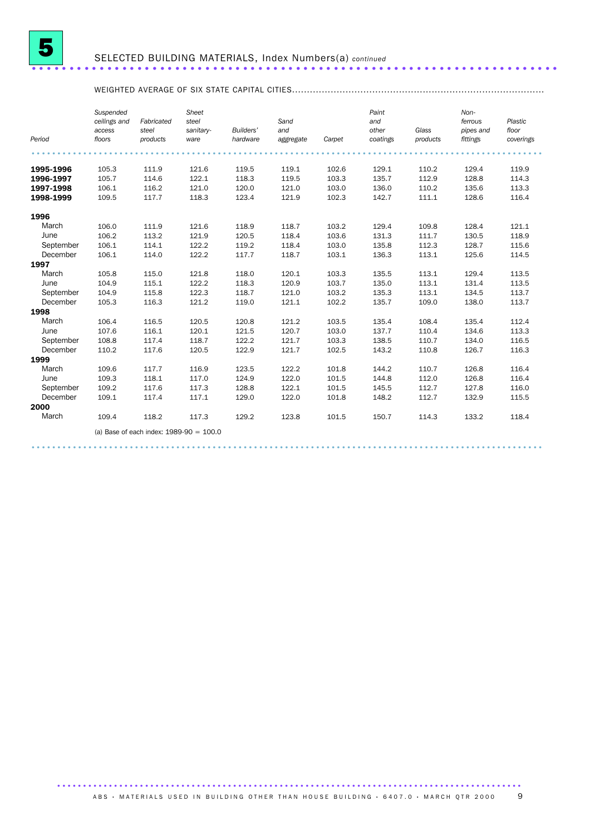

### SELECTED BUILDING MATERIALS, Index Numbers(a) *continued* ......................................................................

## WEIGHTED AVERAGE OF SIX STATE CAPITAL CITIES.....................................................................................

|           | Suspended<br>ceilings and<br>access | Fabricated<br>steel                       | Sheet<br>steel<br>sanitary- | Builders' | Sand<br>and |        | Paint<br>and<br>other | Glass    | Non-<br>ferrous<br>pipes and | Plastic<br>floor |
|-----------|-------------------------------------|-------------------------------------------|-----------------------------|-----------|-------------|--------|-----------------------|----------|------------------------------|------------------|
| Period    | floors                              | products                                  | ware                        | hardware  | aggregate   | Carpet | coatings              | products | fittings                     | coverings        |
|           |                                     |                                           |                             |           |             |        |                       |          |                              |                  |
| 1995-1996 | 105.3                               | 111.9                                     | 121.6                       | 119.5     | 119.1       | 102.6  | 129.1                 | 110.2    | 129.4                        | 119.9            |
| 1996-1997 | 105.7                               | 114.6                                     | 122.1                       | 118.3     | 119.5       | 103.3  | 135.7                 | 112.9    | 128.8                        | 114.3            |
| 1997-1998 | 106.1                               | 116.2                                     | 121.0                       | 120.0     | 121.0       | 103.0  | 136.0                 | 110.2    | 135.6                        | 113.3            |
| 1998-1999 | 109.5                               | 117.7                                     | 118.3                       | 123.4     | 121.9       | 102.3  | 142.7                 | 111.1    | 128.6                        | 116.4            |
| 1996      |                                     |                                           |                             |           |             |        |                       |          |                              |                  |
| March     | 106.0                               | 111.9                                     | 121.6                       | 118.9     | 118.7       | 103.2  | 129.4                 | 109.8    | 128.4                        | 121.1            |
| June      | 106.2                               | 113.2                                     | 121.9                       | 120.5     | 118.4       | 103.6  | 131.3                 | 111.7    | 130.5                        | 118.9            |
| September | 106.1                               | 114.1                                     | 122.2                       | 119.2     | 118.4       | 103.0  | 135.8                 | 112.3    | 128.7                        | 115.6            |
| December  | 106.1                               | 114.0                                     | 122.2                       | 117.7     | 118.7       | 103.1  | 136.3                 | 113.1    | 125.6                        | 114.5            |
| 1997      |                                     |                                           |                             |           |             |        |                       |          |                              |                  |
| March     | 105.8                               | 115.0                                     | 121.8                       | 118.0     | 120.1       | 103.3  | 135.5                 | 113.1    | 129.4                        | 113.5            |
| June      | 104.9                               | 115.1                                     | 122.2                       | 118.3     | 120.9       | 103.7  | 135.0                 | 113.1    | 131.4                        | 113.5            |
| September | 104.9                               | 115.8                                     | 122.3                       | 118.7     | 121.0       | 103.2  | 135.3                 | 113.1    | 134.5                        | 113.7            |
| December  | 105.3                               | 116.3                                     | 121.2                       | 119.0     | 121.1       | 102.2  | 135.7                 | 109.0    | 138.0                        | 113.7            |
| 1998      |                                     |                                           |                             |           |             |        |                       |          |                              |                  |
| March     | 106.4                               | 116.5                                     | 120.5                       | 120.8     | 121.2       | 103.5  | 135.4                 | 108.4    | 135.4                        | 112.4            |
| June      | 107.6                               | 116.1                                     | 120.1                       | 121.5     | 120.7       | 103.0  | 137.7                 | 110.4    | 134.6                        | 113.3            |
| September | 108.8                               | 117.4                                     | 118.7                       | 122.2     | 121.7       | 103.3  | 138.5                 | 110.7    | 134.0                        | 116.5            |
| December  | 110.2                               | 117.6                                     | 120.5                       | 122.9     | 121.7       | 102.5  | 143.2                 | 110.8    | 126.7                        | 116.3            |
| 1999      |                                     |                                           |                             |           |             |        |                       |          |                              |                  |
| March     | 109.6                               | 117.7                                     | 116.9                       | 123.5     | 122.2       | 101.8  | 144.2                 | 110.7    | 126.8                        | 116.4            |
| June      | 109.3                               | 118.1                                     | 117.0                       | 124.9     | 122.0       | 101.5  | 144.8                 | 112.0    | 126.8                        | 116.4            |
| September | 109.2                               | 117.6                                     | 117.3                       | 128.8     | 122.1       | 101.5  | 145.5                 | 112.7    | 127.8                        | 116.0            |
| December  | 109.1                               | 117.4                                     | 117.1                       | 129.0     | 122.0       | 101.8  | 148.2                 | 112.7    | 132.9                        | 115.5            |
| 2000      |                                     |                                           |                             |           |             |        |                       |          |                              |                  |
| March     | 109.4                               | 118.2                                     | 117.3                       | 129.2     | 123.8       | 101.5  | 150.7                 | 114.3    | 133.2                        | 118.4            |
|           |                                     | (a) Base of each index: $1989-90 = 100.0$ |                             |           |             |        |                       |          |                              |                  |
|           |                                     |                                           |                             |           |             |        |                       |          |                              |                  |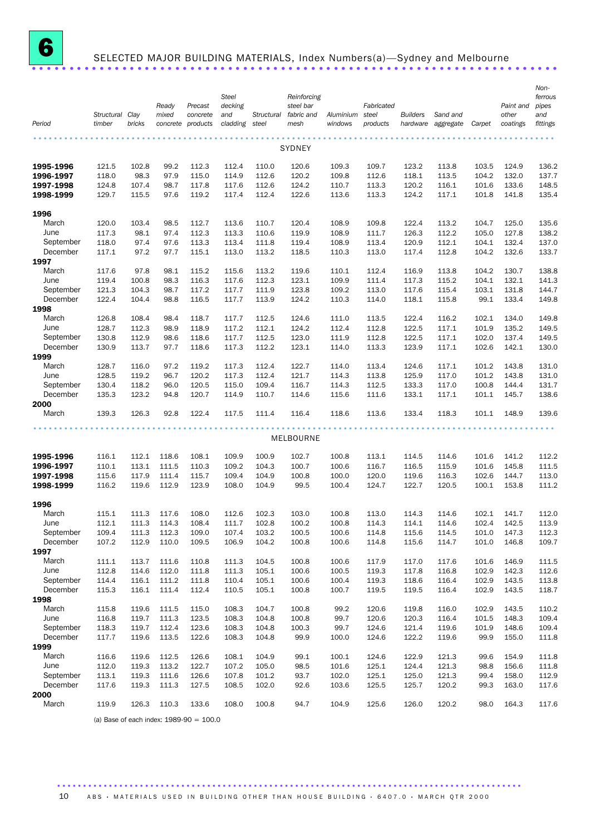

# <sup>6</sup> SELECTED MAJOR BUILDING MATERIALS, Index Numbers(a)—Sydney and Melbourne ......................................................................

|                       |                 |        |       |                   | <b>Steel</b> |            | Reinforcing   |           |            |                 |                    |        |           | Non-<br>ferrous |
|-----------------------|-----------------|--------|-------|-------------------|--------------|------------|---------------|-----------|------------|-----------------|--------------------|--------|-----------|-----------------|
|                       |                 |        | Ready | Precast           | decking      |            | steel bar     |           | Fabricated |                 |                    |        | Paint and | pipes           |
|                       | Structural Clay |        | mixed | concrete          | and          | Structural | fabric and    | Aluminium | steel      | <b>Builders</b> | Sand and           |        | other     | and             |
| Period                | timber          | bricks |       | concrete products | cladding     | steel      | mesh          | windows   | products   |                 | hardware aggregate | Carpet | coatings  | fittings        |
|                       |                 |        |       |                   |              |            |               |           |            |                 |                    |        |           |                 |
|                       |                 |        |       |                   |              |            | <b>SYDNEY</b> |           |            |                 |                    |        |           |                 |
| 1995-1996             | 121.5           | 102.8  | 99.2  | 112.3             | 112.4        | 110.0      | 120.6         | 109.3     | 109.7      | 123.2           | 113.8              | 103.5  | 124.9     | 136.2           |
| 1996-1997             | 118.0           | 98.3   | 97.9  | 115.0             | 114.9        | 112.6      | 120.2         | 109.8     | 112.6      | 118.1           | 113.5              | 104.2  | 132.0     | 137.7           |
| 1997-1998             | 124.8           | 107.4  | 98.7  | 117.8             | 117.6        | 112.6      | 124.2         | 110.7     | 113.3      | 120.2           | 116.1              | 101.6  | 133.6     | 148.5           |
| 1998-1999             | 129.7           | 115.5  | 97.6  | 119.2             | 117.4        | 112.4      | 122.6         | 113.6     | 113.3      | 124.2           | 117.1              | 101.8  | 141.8     | 135.4           |
| 1996                  |                 |        |       |                   |              |            |               |           |            |                 |                    |        |           |                 |
| March                 | 120.0           | 103.4  | 98.5  | 112.7             | 113.6        | 110.7      | 120.4         | 108.9     | 109.8      | 122.4           | 113.2              | 104.7  | 125.0     | 135.6           |
| June                  | 117.3           | 98.1   | 97.4  | 112.3             | 113.3        | 110.6      | 119.9         | 108.9     | 111.7      | 126.3           | 112.2              | 105.0  | 127.8     | 138.2           |
| September<br>December | 118.0           | 97.4   | 97.6  | 113.3             | 113.4        | 111.8      | 119.4         | 108.9     | 113.4      | 120.9           | 112.1              | 104.1  | 132.4     | 137.0           |
| 1997                  | 117.1           | 97.2   | 97.7  | 115.1             | 113.0        | 113.2      | 118.5         | 110.3     | 113.0      | 117.4           | 112.8              | 104.2  | 132.6     | 133.7           |
| March                 | 117.6           | 97.8   | 98.1  | 115.2             | 115.6        | 113.2      | 119.6         | 110.1     | 112.4      | 116.9           | 113.8              | 104.2  | 130.7     | 138.8           |
| June                  | 119.4           | 100.8  | 98.3  | 116.3             | 117.6        | 112.3      | 123.1         | 109.9     | 111.4      | 117.3           | 115.2              | 104.1  | 132.1     | 141.3           |
| September             | 121.3           | 104.3  | 98.7  | 117.2             | 117.7        | 111.9      | 123.8         | 109.2     | 113.0      | 117.6           | 115.4              | 103.1  | 131.8     | 144.7           |
| December              | 122.4           | 104.4  | 98.8  | 116.5             | 117.7        | 113.9      | 124.2         | 110.3     | 114.0      | 118.1           | 115.8              | 99.1   | 133.4     | 149.8           |
| 1998                  |                 |        |       |                   |              |            |               |           |            |                 |                    |        |           |                 |
| March                 | 126.8           | 108.4  | 98.4  | 118.7             | 117.7        | 112.5      | 124.6         | 111.0     | 113.5      | 122.4           | 116.2              | 102.1  | 134.0     | 149.8           |
| June                  | 128.7           | 112.3  | 98.9  | 118.9             | 117.2        | 112.1      | 124.2         | 112.4     | 112.8      | 122.5           | 117.1              | 101.9  | 135.2     | 149.5           |
| September             | 130.8           | 112.9  | 98.6  | 118.6             | 117.7        | 112.5      | 123.0         | 111.9     | 112.8      | 122.5           | 117.1              | 102.0  | 137.4     | 149.5           |
| December              | 130.9           | 113.7  | 97.7  | 118.6             | 117.3        | 112.2      | 123.1         | 114.0     | 113.3      | 123.9           | 117.1              | 102.6  | 142.1     | 130.0           |
| 1999                  |                 |        |       |                   |              |            |               |           |            |                 |                    |        |           |                 |
| March                 | 128.7           | 116.0  | 97.2  | 119.2             | 117.3        | 112.4      | 122.7         | 114.0     | 113.4      | 124.6           | 117.1              | 101.2  | 143.8     | 131.0           |
| June                  | 128.5           | 119.2  | 96.7  | 120.2             | 117.3        | 112.4      | 121.7         | 114.3     | 113.8      | 125.9           | 117.0              | 101.2  | 143.8     | 131.0           |
| September             | 130.4           | 118.2  | 96.0  | 120.5             | 115.0        | 109.4      | 116.7         | 114.3     | 112.5      | 133.3           | 117.0              | 100.8  | 144.4     | 131.7           |
| December              | 135.3           | 123.2  | 94.8  | 120.7             | 114.9        | 110.7      | 114.6         | 115.6     | 111.6      | 133.1           | 117.1              | 101.1  | 145.7     | 138.6           |
| 2000                  |                 |        |       |                   |              |            |               |           |            |                 |                    |        |           |                 |
| March                 | 139.3           | 126.3  | 92.8  | 122.4             | 117.5        | 111.4      | 116.4         | 118.6     | 113.6      | 133.4           | 118.3              | 101.1  | 148.9     | 139.6           |
|                       |                 |        |       |                   |              |            |               |           |            |                 |                    |        |           |                 |
|                       |                 |        |       |                   |              |            | MELBOURNE     |           |            |                 |                    |        |           |                 |
| 1995-1996             | 116.1           | 112.1  | 118.6 | 108.1             | 109.9        | 100.9      | 102.7         | 100.8     | 113.1      | 114.5           | 114.6              | 101.6  | 141.2     | 112.2           |
| 1996-1997             | 110.1           | 113.1  | 111.5 | 110.3             | 109.2        | 104.3      | 100.7         | 100.6     | 116.7      | 116.5           | 115.9              | 101.6  | 145.8     | 111.5           |
| 1997-1998             | 115.6           | 117.9  | 111.4 | 115.7             | 109.4        | 104.9      | 100.8         | 100.0     | 120.0      | 119.6           | 116.3              | 102.6  | 144.7     | 113.0           |
| 1998-1999             | 116.2           | 119.6  | 112.9 | 123.9             | 108.0        | 104.9      | 99.5          | 100.4     | 124.7      | 122.7           | 120.5              | 100.1  | 153.8     | 111.2           |
| 1996                  |                 |        |       |                   |              |            |               |           |            |                 |                    |        |           |                 |
| March                 | 115.1           | 111.3  | 117.6 | 108.0             | 112.6        | 102.3      | 103.0         | 100.8     | 113.0      | 114.3           | 114.6              | 102.1  | 141.7     | 112.0           |
| June                  | 112.1           | 111.3  | 114.3 | 108.4             | 111.7        | 102.8      | 100.2         | 100.8     | 114.3      | 114.1           | 114.6              | 102.4  | 142.5     | 113.9           |
| September             | 109.4           | 111.3  | 112.3 | 109.0             | 107.4        | 103.2      | 100.5         | 100.6     | 114.8      | 115.6           | 114.5              | 101.0  | 147.3     | 112.3           |
| December              | 107.2           | 112.9  | 110.0 | 109.5             | 106.9        | 104.2      | 100.8         | 100.6     | 114.8      | 115.6           | 114.7              | 101.0  | 146.8     | 109.7           |
| 1997                  |                 |        |       |                   |              |            |               |           |            |                 |                    |        |           |                 |
| March                 | 111.1           | 113.7  | 111.6 | 110.8             | 111.3        | 104.5      | 100.8         | 100.6     | 117.9      | 117.0           | 117.6              | 101.6  | 146.9     | 111.5           |
| June                  | 112.8           | 114.6  | 112.0 | 111.8             | 111.3        | 105.1      | 100.6         | 100.5     | 119.3      | 117.8           | 116.8              | 102.9  | 142.3     | 112.6           |
| September             | 114.4           | 116.1  | 111.2 | 111.8             | 110.4        | 105.1      | 100.6         | 100.4     | 119.3      | 118.6           | 116.4              | 102.9  | 143.5     | 113.8           |
| December              | 115.3           | 116.1  | 111.4 | 112.4             | 110.5        | 105.1      | 100.8         | 100.7     | 119.5      | 119.5           | 116.4              | 102.9  | 143.5     | 118.7           |
| 1998                  |                 |        |       |                   |              |            |               |           |            |                 |                    |        |           |                 |
| March                 | 115.8           | 119.6  | 111.5 | 115.0             | 108.3        | 104.7      | 100.8         | 99.2      | 120.6      | 119.8           | 116.0              | 102.9  | 143.5     | 110.2           |
| June                  | 116.8           | 119.7  | 111.3 | 123.5             | 108.3        | 104.8      | 100.8         | 99.7      | 120.6      | 120.3           | 116.4              | 101.5  | 148.3     | 109.4           |
| September             | 118.3           | 119.7  | 112.4 | 123.6             | 108.3        | 104.8      | 100.3         | 99.7      | 124.6      | 121.4           | 119.6              | 101.9  | 148.6     | 109.4           |
| December              | 117.7           | 119.6  | 113.5 | 122.6             | 108.3        | 104.8      | 99.9          | 100.0     | 124.6      | 122.2           | 119.6              | 99.9   | 155.0     | 111.8           |
| 1999                  |                 |        |       |                   |              |            |               |           |            |                 |                    |        |           |                 |
| March                 | 116.6           | 119.6  | 112.5 | 126.6             | 108.1        | 104.9      | 99.1          | 100.1     | 124.6      | 122.9           | 121.3              | 99.6   | 154.9     | 111.8           |
| June                  | 112.0           | 119.3  | 113.2 | 122.7             | 107.2        | 105.0      | 98.5          | 101.6     | 125.1      | 124.4           | 121.3              | 98.8   | 156.6     | 111.8           |
| September             | 113.1           | 119.3  | 111.6 | 126.6             | 107.8        | 101.2      | 93.7          | 102.0     | 125.1      | 125.0           | 121.3              | 99.4   | 158.0     | 112.9           |
| December              | 117.6           | 119.3  | 111.3 | 127.5             | 108.5        | 102.0      | 92.6          | 103.6     | 125.5      | 125.7           | 120.2              | 99.3   | 163.0     | 117.6           |
| 2000<br>March         | 119.9           | 126.3  | 110.3 | 133.6             | 108.0        | 100.8      | 94.7          | 104.9     | 125.6      | 126.0           | 120.2              | 98.0   | 164.3     | 117.6           |
|                       |                 |        |       |                   |              |            |               |           |            |                 |                    |        |           |                 |

(a) Base of each index: 1989-90 = 100.0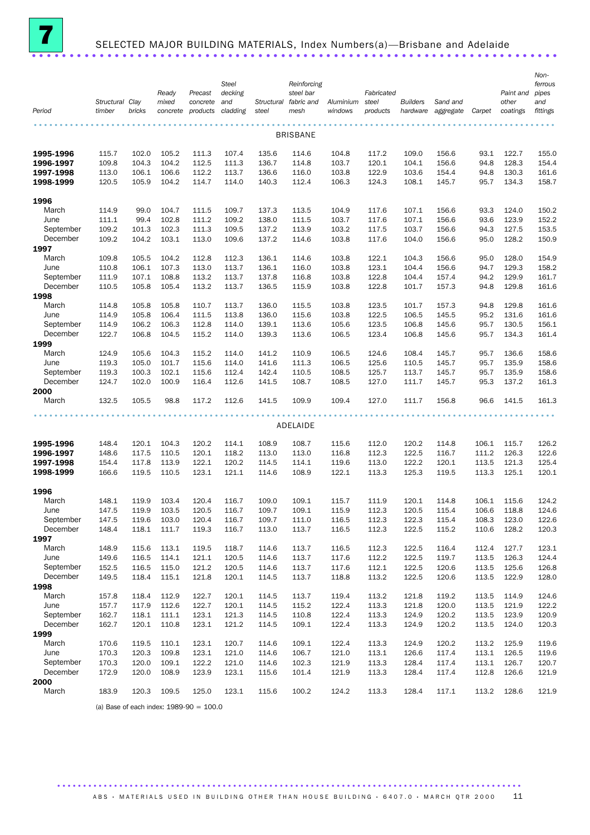

## SELECTED MAJOR BUILDING MATERIALS, Index Numbers(a)—Brisbane and Adelaide ......................................................................

| Period                 | Structural Clay<br>timber | bricks         | Ready<br>mixed<br>concrete | Precast<br>concrete<br>products           | <b>Steel</b><br>decking<br>and<br>cladding | Structural<br>steel | Reinforcing<br>steel bar<br>fabric and<br>mesh | Aluminium<br>windows | Fabricated<br>steel<br>products | <b>Builders</b><br>hardware | Sand and<br>aggregate | Carpet         | Paint and<br>other<br>coatings | Non-<br>ferrous<br>pipes<br>and<br>fittings |
|------------------------|---------------------------|----------------|----------------------------|-------------------------------------------|--------------------------------------------|---------------------|------------------------------------------------|----------------------|---------------------------------|-----------------------------|-----------------------|----------------|--------------------------------|---------------------------------------------|
|                        |                           |                |                            |                                           |                                            |                     |                                                |                      |                                 |                             |                       |                |                                |                                             |
|                        |                           |                |                            |                                           |                                            |                     | <b>BRISBANE</b>                                |                      |                                 |                             |                       |                |                                |                                             |
| 1995-1996              | 115.7                     | 102.0          | 105.2                      | 111.3                                     | 107.4                                      | 135.6               | 114.6                                          | 104.8                | 117.2                           | 109.0                       | 156.6                 | 93.1           | 122.7                          | 155.0                                       |
| 1996-1997              | 109.8                     | 104.3          | 104.2                      | 112.5                                     | 111.3                                      | 136.7               | 114.8                                          | 103.7                | 120.1                           | 104.1                       | 156.6                 | 94.8           | 128.3                          | 154.4                                       |
| 1997-1998<br>1998-1999 | 113.0<br>120.5            | 106.1<br>105.9 | 106.6<br>104.2             | 112.2<br>114.7                            | 113.7<br>114.0                             | 136.6<br>140.3      | 116.0<br>112.4                                 | 103.8<br>106.3       | 122.9<br>124.3                  | 103.6<br>108.1              | 154.4<br>145.7        | 94.8<br>95.7   | 130.3<br>134.3                 | 161.6<br>158.7                              |
|                        |                           |                |                            |                                           |                                            |                     |                                                |                      |                                 |                             |                       |                |                                |                                             |
| 1996                   |                           |                |                            |                                           |                                            |                     |                                                |                      |                                 |                             |                       |                |                                |                                             |
| March                  | 114.9                     | 99.0           | 104.7                      | 111.5                                     | 109.7                                      | 137.3               | 113.5                                          | 104.9                | 117.6                           | 107.1                       | 156.6                 | 93.3           | 124.0                          | 150.2                                       |
| June                   | 111.1                     | 99.4           | 102.8                      | 111.2                                     | 109.2                                      | 138.0               | 111.5                                          | 103.7                | 117.6                           | 107.1                       | 156.6                 | 93.6           | 123.9                          | 152.2                                       |
| September<br>December  | 109.2<br>109.2            | 101.3<br>104.2 | 102.3<br>103.1             | 111.3<br>113.0                            | 109.5<br>109.6                             | 137.2<br>137.2      | 113.9<br>114.6                                 | 103.2<br>103.8       | 117.5<br>117.6                  | 103.7<br>104.0              | 156.6<br>156.6        | 94.3<br>95.0   | 127.5<br>128.2                 | 153.5<br>150.9                              |
| 1997                   |                           |                |                            |                                           |                                            |                     |                                                |                      |                                 |                             |                       |                |                                |                                             |
| March                  | 109.8                     | 105.5          | 104.2                      | 112.8                                     | 112.3                                      | 136.1               | 114.6                                          | 103.8                | 122.1                           | 104.3                       | 156.6                 | 95.0           | 128.0                          | 154.9                                       |
| June                   | 110.8                     | 106.1          | 107.3                      | 113.0                                     | 113.7                                      | 136.1               | 116.0                                          | 103.8                | 123.1                           | 104.4                       | 156.6                 | 94.7           | 129.3                          | 158.2                                       |
| September              | 111.9                     | 107.1          | 108.8                      | 113.2                                     | 113.7                                      | 137.8               | 116.8                                          | 103.8                | 122.8                           | 104.4                       | 157.4                 | 94.2           | 129.9                          | 161.7                                       |
| December               | 110.5                     | 105.8          | 105.4                      | 113.2                                     | 113.7                                      | 136.5               | 115.9                                          | 103.8                | 122.8                           | 101.7                       | 157.3                 | 94.8           | 129.8                          | 161.6                                       |
| 1998<br>March          | 114.8                     | 105.8          | 105.8                      | 110.7                                     | 113.7                                      | 136.0               | 115.5                                          | 103.8                | 123.5                           | 101.7                       | 157.3                 | 94.8           | 129.8                          | 161.6                                       |
| June                   | 114.9                     | 105.8          | 106.4                      | 111.5                                     | 113.8                                      | 136.0               | 115.6                                          | 103.8                | 122.5                           | 106.5                       | 145.5                 | 95.2           | 131.6                          | 161.6                                       |
| September              | 114.9                     | 106.2          | 106.3                      | 112.8                                     | 114.0                                      | 139.1               | 113.6                                          | 105.6                | 123.5                           | 106.8                       | 145.6                 | 95.7           | 130.5                          | 156.1                                       |
| December               | 122.7                     | 106.8          | 104.5                      | 115.2                                     | 114.0                                      | 139.3               | 113.6                                          | 106.5                | 123.4                           | 106.8                       | 145.6                 | 95.7           | 134.3                          | 161.4                                       |
| 1999                   |                           |                |                            |                                           |                                            |                     |                                                |                      |                                 |                             |                       |                |                                |                                             |
| March                  | 124.9                     | 105.6          | 104.3                      | 115.2                                     | 114.0                                      | 141.2               | 110.9                                          | 106.5                | 124.6                           | 108.4                       | 145.7                 | 95.7           | 136.6                          | 158.6                                       |
| June<br>September      | 119.3<br>119.3            | 105.0<br>100.3 | 101.7<br>102.1             | 115.6<br>115.6                            | 114.0<br>112.4                             | 141.6<br>142.4      | 111.3<br>110.5                                 | 106.5<br>108.5       | 125.6<br>125.7                  | 110.5<br>113.7              | 145.7<br>145.7        | 95.7<br>95.7   | 135.9<br>135.9                 | 158.6<br>158.6                              |
| December               | 124.7                     | 102.0          | 100.9                      | 116.4                                     | 112.6                                      | 141.5               | 108.7                                          | 108.5                | 127.0                           | 111.7                       | 145.7                 | 95.3           | 137.2                          | 161.3                                       |
| 2000                   |                           |                |                            |                                           |                                            |                     |                                                |                      |                                 |                             |                       |                |                                |                                             |
| March                  | 132.5                     | 105.5          | 98.8                       | 117.2                                     | 112.6                                      | 141.5               | 109.9                                          | 109.4                | 127.0                           | 111.7                       | 156.8                 | 96.6           | 141.5                          | 161.3                                       |
|                        |                           |                |                            |                                           |                                            |                     |                                                |                      |                                 |                             |                       |                |                                |                                             |
|                        |                           |                |                            |                                           |                                            |                     | ADELAIDE                                       |                      |                                 |                             |                       |                |                                |                                             |
| 1995-1996              | 148.4                     | 120.1          | 104.3                      | 120.2                                     | 114.1                                      | 108.9               | 108.7                                          | 115.6                | 112.0                           | 120.2                       | 114.8                 | 106.1          | 115.7                          | 126.2                                       |
| 1996-1997              | 148.6                     | 117.5          | 110.5                      | 120.1                                     | 118.2                                      | 113.0               | 113.0                                          | 116.8                | 112.3                           | 122.5                       | 116.7                 | 111.2          | 126.3                          | 122.6                                       |
| 1997-1998              | 154.4                     | 117.8          | 113.9                      | 122.1                                     | 120.2                                      | 114.5               | 114.1                                          | 119.6                | 113.0                           | 122.2                       | 120.1                 | 113.5          | 121.3                          | 125.4                                       |
| 1998-1999              | 166.6                     | 119.5          | 110.5                      | 123.1                                     | 121.1                                      | 114.6               | 108.9                                          | 122.1                | 113.3                           | 125.3                       | 119.5                 | 113.3          | 125.1                          | 120.1                                       |
| 1996                   |                           |                |                            |                                           |                                            |                     |                                                |                      |                                 |                             |                       |                |                                |                                             |
| March                  | 148.1                     | 119.9          | 103.4                      | 120.4                                     | 116.7                                      | 109.0               | 109.1                                          | 115.7                | 111.9                           | 120.1                       | 114.8                 | 106.1          | 115.6                          | 124.2                                       |
| June<br>September      | 147.5<br>147.5            | 119.9<br>119.6 | 103.5<br>103.0             | 120.5<br>120.4                            | 116.7<br>116.7                             | 109.7<br>109.7      | 109.1<br>111.0                                 | 115.9<br>116.5       | 112.3<br>112.3                  | 120.5<br>122.3              | 115.4<br>115.4        | 106.6<br>108.3 | 118.8<br>123.0                 | 124.6<br>122.6                              |
| December               | 148.4                     | 118.1          | 111.7                      | 119.3                                     | 116.7                                      | 113.0               | 113.7                                          | 116.5                | 112.3                           | 122.5                       | 115.2                 | 110.6          | 128.2                          | 120.3                                       |
| 1997                   |                           |                |                            |                                           |                                            |                     |                                                |                      |                                 |                             |                       |                |                                |                                             |
| March                  | 148.9                     | 115.6          | 113.1                      | 119.5                                     | 118.7                                      | 114.6               | 113.7                                          | 116.5                | 112.3                           | 122.5                       | 116.4                 | 112.4          | 127.7                          | 123.1                                       |
| June                   | 149.6                     | 116.5          | 114.1                      | 121.1                                     | 120.5                                      | 114.6               | 113.7                                          | 117.6                | 112.2                           | 122.5                       | 119.7                 | 113.5          | 126.3                          | 124.4                                       |
| September              | 152.5                     | 116.5          | 115.0                      | 121.2                                     | 120.5                                      | 114.6               | 113.7                                          | 117.6                | 112.1                           | 122.5                       | 120.6                 | 113.5          | 125.6                          | 126.8                                       |
| December               | 149.5                     | 118.4          | 115.1                      | 121.8                                     | 120.1                                      | 114.5               | 113.7                                          | 118.8                | 113.2                           | 122.5                       | 120.6                 | 113.5          | 122.9                          | 128.0                                       |
| 1998<br>March          | 157.8                     | 118.4          | 112.9                      | 122.7                                     | 120.1                                      | 114.5               | 113.7                                          | 119.4                | 113.2                           | 121.8                       | 119.2                 | 113.5          | 114.9                          | 124.6                                       |
| June                   | 157.7                     | 117.9          | 112.6                      | 122.7                                     | 120.1                                      | 114.5               | 115.2                                          | 122.4                | 113.3                           | 121.8                       | 120.0                 | 113.5          | 121.9                          | 122.2                                       |
| September              | 162.7                     | 118.1          | 111.1                      | 123.1                                     | 121.3                                      | 114.5               | 110.8                                          | 122.4                | 113.3                           | 124.9                       | 120.2                 | 113.5          | 123.9                          | 120.9                                       |
| December               | 162.7                     | 120.1          | 110.8                      | 123.1                                     | 121.2                                      | 114.5               | 109.1                                          | 122.4                | 113.3                           | 124.9                       | 120.2                 | 113.5          | 124.0                          | 120.3                                       |
| 1999                   |                           |                |                            |                                           |                                            |                     |                                                |                      |                                 |                             |                       |                |                                |                                             |
| March                  | 170.6                     | 119.5          | 110.1                      | 123.1                                     | 120.7                                      | 114.6               | 109.1                                          | 122.4                | 113.3                           | 124.9                       | 120.2                 | 113.2          | 125.9                          | 119.6                                       |
| June                   | 170.3                     | 120.3          | 109.8                      | 123.1                                     | 121.0                                      | 114.6               | 106.7                                          | 121.0                | 113.1                           | 126.6                       | 117.4                 | 113.1          | 126.5                          | 119.6                                       |
| September<br>December  | 170.3<br>172.9            | 120.0<br>120.0 | 109.1<br>108.9             | 122.2<br>123.9                            | 121.0<br>123.1                             | 114.6<br>115.6      | 102.3<br>101.4                                 | 121.9<br>121.9       | 113.3<br>113.3                  | 128.4<br>128.4              | 117.4<br>117.4        | 113.1<br>112.8 | 126.7<br>126.6                 | 120.7<br>121.9                              |
| 2000                   |                           |                |                            |                                           |                                            |                     |                                                |                      |                                 |                             |                       |                |                                |                                             |
| March                  | 183.9                     | 120.3          | 109.5                      | 125.0                                     | 123.1                                      | 115.6               | 100.2                                          | 124.2                | 113.3                           | 128.4                       | 117.1                 | 113.2          | 128.6                          | 121.9                                       |
|                        |                           |                |                            | (a) Base of each index: $1989-90 = 100.0$ |                                            |                     |                                                |                      |                                 |                             |                       |                |                                |                                             |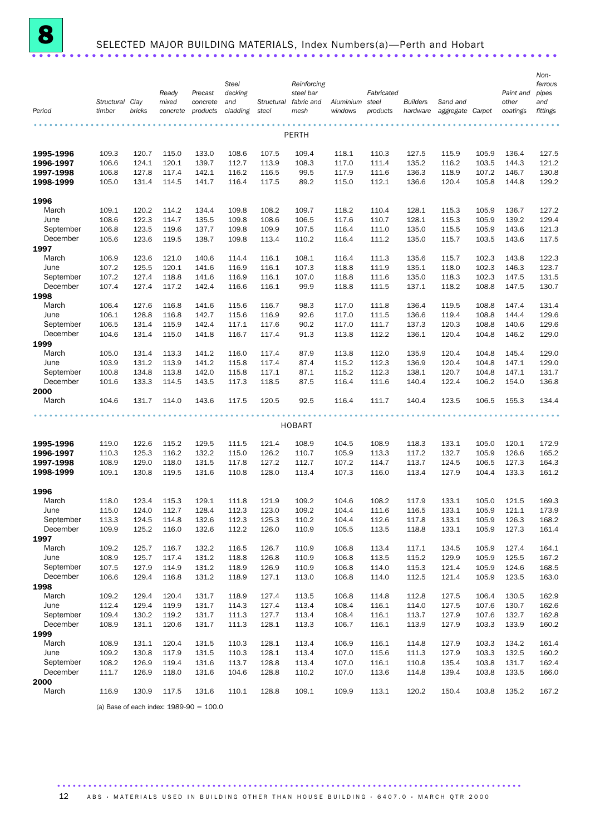

## SELECTED MAJOR BUILDING MATERIALS, Index Numbers(a)—Perth and Hobart ......................................................................

|                        |                           |                |                   |                      | <b>Steel</b>    |                     | Reinforcing        |                      |                   |                             |                              |                |                   | Non-<br>ferrous |
|------------------------|---------------------------|----------------|-------------------|----------------------|-----------------|---------------------|--------------------|----------------------|-------------------|-----------------------------|------------------------------|----------------|-------------------|-----------------|
|                        |                           |                | Ready             | Precast              | decking         |                     | steel bar          |                      | Fabricated        |                             |                              |                | Paint and         | pipes           |
| Period                 | Structural Clay<br>timber | bricks         | mixed<br>concrete | concrete<br>products | and<br>cladding | Structural<br>steel | fabric and<br>mesh | Aluminium<br>windows | steel<br>products | <b>Builders</b><br>hardware | Sand and<br>aggregate Carpet |                | other<br>coatings | and<br>fittings |
|                        |                           |                |                   |                      |                 |                     |                    |                      |                   |                             |                              |                |                   |                 |
|                        |                           |                |                   |                      |                 |                     | PERTH              |                      |                   |                             |                              |                |                   |                 |
| 1995-1996              | 109.3                     | 120.7          | 115.0             | 133.0                | 108.6           | 107.5               | 109.4              | 118.1                | 110.3             | 127.5                       | 115.9                        | 105.9          | 136.4             | 127.5           |
| 1996-1997              | 106.6                     | 124.1          | 120.1             | 139.7                | 112.7           | 113.9               | 108.3              | 117.0                | 111.4             | 135.2                       | 116.2                        | 103.5          | 144.3             | 121.2           |
| 1997-1998<br>1998-1999 | 106.8<br>105.0            | 127.8<br>131.4 | 117.4<br>114.5    | 142.1<br>141.7       | 116.2<br>116.4  | 116.5<br>117.5      | 99.5<br>89.2       | 117.9<br>115.0       | 111.6<br>112.1    | 136.3<br>136.6              | 118.9<br>120.4               | 107.2<br>105.8 | 146.7<br>144.8    | 130.8<br>129.2  |
| 1996                   |                           |                |                   |                      |                 |                     |                    |                      |                   |                             |                              |                |                   |                 |
| March                  | 109.1                     | 120.2          | 114.2             | 134.4                | 109.8           | 108.2               | 109.7              | 118.2                | 110.4             | 128.1                       | 115.3                        | 105.9          | 136.7             | 127.2           |
| June                   | 108.6                     | 122.3          | 114.7             | 135.5                | 109.8           | 108.6               | 106.5              | 117.6                | 110.7             | 128.1                       | 115.3                        | 105.9          | 139.2             | 129.4           |
| September              | 106.8                     | 123.5          | 119.6             | 137.7                | 109.8           | 109.9               | 107.5              | 116.4                | 111.0             | 135.0                       | 115.5                        | 105.9          | 143.6             | 121.3           |
| December               | 105.6                     | 123.6          | 119.5             | 138.7                | 109.8           | 113.4               | 110.2              | 116.4                | 111.2             | 135.0                       | 115.7                        | 103.5          | 143.6             | 117.5           |
| 1997                   |                           |                |                   |                      |                 |                     |                    |                      |                   |                             |                              |                |                   |                 |
| March                  | 106.9                     | 123.6          | 121.0             | 140.6                | 114.4           | 116.1               | 108.1              | 116.4                | 111.3             | 135.6                       | 115.7                        | 102.3          | 143.8             | 122.3           |
| June                   | 107.2                     | 125.5          | 120.1             | 141.6                | 116.9           | 116.1               | 107.3              | 118.8                | 111.9             | 135.1                       | 118.0                        | 102.3          | 146.3             | 123.7           |
| September              | 107.2                     | 127.4          | 118.8             | 141.6                | 116.9           | 116.1               | 107.0              | 118.8                | 111.6             | 135.0                       | 118.3                        | 102.3          | 147.5             | 131.5           |
| December               | 107.4                     | 127.4          | 117.2             | 142.4                | 116.6           | 116.1               | 99.9               | 118.8                | 111.5             | 137.1                       | 118.2                        | 108.8          | 147.5             | 130.7           |
| 1998                   |                           |                |                   |                      |                 |                     |                    |                      |                   |                             |                              |                |                   |                 |
| March                  | 106.4                     | 127.6          | 116.8             | 141.6                | 115.6           | 116.7               | 98.3               | 117.0                | 111.8             | 136.4                       | 119.5                        | 108.8          | 147.4             | 131.4           |
| June                   | 106.1                     | 128.8          | 116.8             | 142.7                | 115.6           | 116.9               | 92.6               | 117.0                | 111.5             | 136.6                       | 119.4                        | 108.8          | 144.4             | 129.6           |
| September              | 106.5                     | 131.4          | 115.9             | 142.4                | 117.1           | 117.6               | 90.2               | 117.0                | 111.7             | 137.3                       | 120.3                        | 108.8          | 140.6             | 129.6           |
| December               | 104.6                     | 131.4          | 115.0             | 141.8                | 116.7           | 117.4               | 91.3               | 113.8                | 112.2             | 136.1                       | 120.4                        | 104.8          | 146.2             | 129.0           |
| 1999                   |                           |                |                   |                      |                 |                     |                    |                      |                   |                             |                              |                |                   |                 |
| March<br>June          | 105.0<br>103.9            | 131.4<br>131.2 | 113.3<br>113.9    | 141.2<br>141.2       | 116.0<br>115.8  | 117.4<br>117.4      | 87.9<br>87.4       | 113.8<br>115.2       | 112.0<br>112.3    | 135.9<br>136.9              | 120.4<br>120.4               | 104.8<br>104.8 | 145.4<br>147.1    | 129.0<br>129.0  |
| September              | 100.8                     | 134.8          | 113.8             | 142.0                | 115.8           | 117.1               | 87.1               | 115.2                | 112.3             | 138.1                       | 120.7                        | 104.8          | 147.1             | 131.7           |
| December               | 101.6                     | 133.3          | 114.5             | 143.5                | 117.3           | 118.5               | 87.5               | 116.4                | 111.6             | 140.4                       | 122.4                        | 106.2          | 154.0             | 136.8           |
| 2000                   |                           |                |                   |                      |                 |                     |                    |                      |                   |                             |                              |                |                   |                 |
| March                  | 104.6                     | 131.7          | 114.0             | 143.6                | 117.5           | 120.5               | 92.5               | 116.4                | 111.7             | 140.4                       | 123.5                        | 106.5          | 155.3             | 134.4           |
|                        |                           |                |                   |                      |                 |                     |                    |                      |                   |                             |                              |                |                   |                 |
|                        |                           |                |                   |                      |                 |                     | <b>HOBART</b>      |                      |                   |                             |                              |                |                   |                 |
| 1995-1996              | 119.0                     | 122.6          | 115.2             | 129.5                | 111.5           | 121.4               | 108.9              | 104.5                | 108.9             | 118.3                       | 133.1                        | 105.0          | 120.1             | 172.9           |
| 1996-1997              | 110.3                     | 125.3          | 116.2             | 132.2                | 115.0           | 126.2               | 110.7              | 105.9                | 113.3             | 117.2                       | 132.7                        | 105.9          | 126.6             | 165.2           |
| 1997-1998              | 108.9                     | 129.0          | 118.0             | 131.5                | 117.8           | 127.2               | 112.7              | 107.2                | 114.7             | 113.7                       | 124.5                        | 106.5          | 127.3             | 164.3           |
| 1998-1999              | 109.1                     | 130.8          | 119.5             | 131.6                | 110.8           | 128.0               | 113.4              | 107.3                | 116.0             | 113.4                       | 127.9                        | 104.4          | 133.3             | 161.2           |
| 1996                   |                           |                |                   |                      |                 |                     |                    |                      |                   |                             |                              |                |                   |                 |
| March                  | 118.0                     | 123.4          | 115.3             | 129.1                | 111.8           | 121.9               | 109.2              | 104.6                | 108.2             | 117.9                       | 133.1                        | 105.0          | 121.5             | 169.3           |
| June                   | 115.0                     | 124.0          | 112.7             | 128.4                | 112.3           | 123.0               | 109.2              | 104.4                | 111.6             | 116.5                       | 133.1                        | 105.9          | 121.1             | 173.9           |
| September              | 113.3                     | 124.5          | 114.8             | 132.6                | 112.3           | 125.3               | 110.2              | 104.4                | 112.6             | 117.8                       | 133.1                        | 105.9          | 126.3             | 168.2           |
| December               | 109.9                     | 125.2          | 116.0             | 132.6                | 112.2           | 126.0               | 110.9              | 105.5                | 113.5             | 118.8                       | 133.1                        | 105.9          | 127.3             | 161.4           |
| 1997                   |                           |                |                   |                      |                 |                     |                    |                      |                   |                             |                              |                |                   |                 |
| March<br>June          | 109.2                     | 125.7<br>125.7 | 116.7             | 132.2                | 116.5           | 126.7               | 110.9              | 106.8                | 113.4             | 117.1                       | 134.5                        | 105.9          | 127.4             | 164.1           |
| September              | 108.9<br>107.5            | 127.9          | 117.4<br>114.9    | 131.2<br>131.2       | 118.8<br>118.9  | 126.8<br>126.9      | 110.9<br>110.9     | 106.8<br>106.8       | 113.5<br>114.0    | 115.2<br>115.3              | 129.9<br>121.4               | 105.9<br>105.9 | 125.5<br>124.6    | 167.2<br>168.5  |
| December               | 106.6                     | 129.4          | 116.8             | 131.2                | 118.9           | 127.1               | 113.0              | 106.8                | 114.0             | 112.5                       | 121.4                        | 105.9          | 123.5             | 163.0           |
| 1998                   |                           |                |                   |                      |                 |                     |                    |                      |                   |                             |                              |                |                   |                 |
| March                  | 109.2                     | 129.4          | 120.4             | 131.7                | 118.9           | 127.4               | 113.5              | 106.8                | 114.8             | 112.8                       | 127.5                        | 106.4          | 130.5             | 162.9           |
| June                   | 112.4                     | 129.4          | 119.9             | 131.7                | 114.3           | 127.4               | 113.4              | 108.4                | 116.1             | 114.0                       | 127.5                        | 107.6          | 130.7             | 162.6           |
| September              | 109.4                     | 130.2          | 119.2             | 131.7                | 111.3           | 127.7               | 113.4              | 108.4                | 116.1             | 113.7                       | 127.9                        | 107.6          | 132.7             | 162.8           |
| December               | 108.9                     | 131.1          | 120.6             | 131.7                | 111.3           | 128.1               | 113.3              | 106.7                | 116.1             | 113.9                       | 127.9                        | 103.3          | 133.9             | 160.2           |
| 1999                   |                           |                |                   |                      |                 |                     |                    |                      |                   |                             |                              |                |                   |                 |
| March                  | 108.9                     | 131.1          | 120.4             | 131.5                | 110.3           | 128.1               | 113.4              | 106.9                | 116.1             | 114.8                       | 127.9                        | 103.3          | 134.2             | 161.4           |
| June                   | 109.2                     | 130.8          | 117.9             | 131.5                | 110.3           | 128.1               | 113.4              | 107.0                | 115.6             | 111.3                       | 127.9                        | 103.3          | 132.5             | 160.2           |
| September              | 108.2                     | 126.9          | 119.4             | 131.6                | 113.7           | 128.8               | 113.4              | 107.0                | 116.1             | 110.8                       | 135.4                        | 103.8          | 131.7             | 162.4           |
| December               | 111.7                     | 126.9          | 118.0             | 131.6                | 104.6           | 128.8               | 110.2              | 107.0                | 113.6             | 114.8                       | 139.4                        | 103.8          | 133.5             | 166.0           |
| 2000                   |                           |                |                   |                      |                 |                     |                    |                      |                   |                             |                              |                |                   |                 |
| March                  | 116.9                     | 130.9          | 117.5             | 131.6                | 110.1           | 128.8               | 109.1              | 109.9                | 113.1             | 120.2                       | 150.4                        | 103.8          | 135.2             | 167.2           |
|                        |                           |                |                   |                      |                 |                     |                    |                      |                   |                             |                              |                |                   |                 |

(a) Base of each index: 1989-90 = 100.0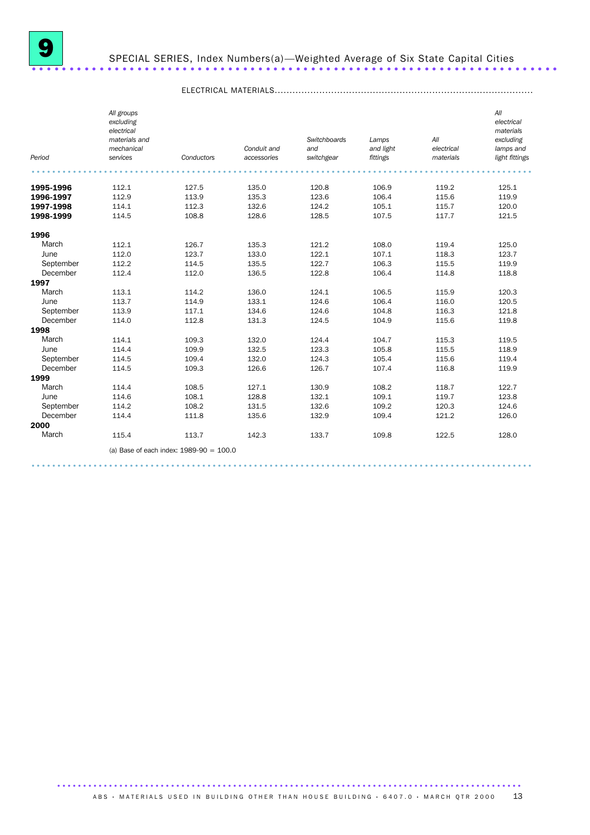

## SPECIAL SERIES, Index Numbers(a)—Weighted Average of Six State Capital Cities ......................................................................

|           | All groups    |                                           |             |              |           |            | All            |
|-----------|---------------|-------------------------------------------|-------------|--------------|-----------|------------|----------------|
|           | excluding     |                                           |             |              |           |            | electrical     |
|           | electrical    |                                           |             |              |           |            | materials      |
|           | materials and |                                           |             | Switchboards | Lamps     | All        | excluding      |
|           | mechanical    |                                           | Conduit and | and          | and light | electrical | lamps and      |
| Period    | services      | Conductors                                | accessories | switchgear   | fittings  | materials  | light fittings |
|           |               |                                           |             |              |           |            |                |
| 1995-1996 | 112.1         | 127.5                                     | 135.0       | 120.8        | 106.9     | 119.2      | 125.1          |
| 1996-1997 | 112.9         | 113.9                                     | 135.3       | 123.6        | 106.4     | 115.6      | 119.9          |
| 1997-1998 | 114.1         | 112.3                                     | 132.6       | 124.2        | 105.1     | 115.7      | 120.0          |
| 1998-1999 | 114.5         | 108.8                                     | 128.6       | 128.5        | 107.5     | 117.7      | 121.5          |
| 1996      |               |                                           |             |              |           |            |                |
| March     | 112.1         | 126.7                                     | 135.3       | 121.2        | 108.0     | 119.4      | 125.0          |
| June      | 112.0         | 123.7                                     | 133.0       | 122.1        | 107.1     | 118.3      | 123.7          |
| September | 112.2         | 114.5                                     | 135.5       | 122.7        | 106.3     | 115.5      | 119.9          |
| December  | 112.4         | 112.0                                     | 136.5       | 122.8        | 106.4     | 114.8      | 118.8          |
| 1997      |               |                                           |             |              |           |            |                |
| March     | 113.1         | 114.2                                     | 136.0       | 124.1        | 106.5     | 115.9      | 120.3          |
| June      | 113.7         | 114.9                                     | 133.1       | 124.6        | 106.4     | 116.0      | 120.5          |
| September | 113.9         | 117.1                                     | 134.6       | 124.6        | 104.8     | 116.3      | 121.8          |
| December  | 114.0         | 112.8                                     | 131.3       | 124.5        | 104.9     | 115.6      | 119.8          |
| 1998      |               |                                           |             |              |           |            |                |
| March     | 114.1         | 109.3                                     | 132.0       | 124.4        | 104.7     | 115.3      | 119.5          |
| June      | 114.4         | 109.9                                     | 132.5       | 123.3        | 105.8     | 115.5      | 118.9          |
| September | 114.5         | 109.4                                     | 132.0       | 124.3        | 105.4     | 115.6      | 119.4          |
| December  | 114.5         | 109.3                                     | 126.6       | 126.7        | 107.4     | 116.8      | 119.9          |
| 1999      |               |                                           |             |              |           |            |                |
| March     | 114.4         | 108.5                                     | 127.1       | 130.9        | 108.2     | 118.7      | 122.7          |
| June      | 114.6         | 108.1                                     | 128.8       | 132.1        | 109.1     | 119.7      | 123.8          |
| September | 114.2         | 108.2                                     | 131.5       | 132.6        | 109.2     | 120.3      | 124.6          |
| December  | 114.4         | 111.8                                     | 135.6       | 132.9        | 109.4     | 121.2      | 126.0          |
| 2000      |               |                                           |             |              |           |            |                |
| March     | 115.4         | 113.7                                     | 142.3       | 133.7        | 109.8     | 122.5      | 128.0          |
|           |               | (a) Base of each index: $1989-90 = 100.0$ |             |              |           |            |                |

## ELECTRICAL MATERIALS.......................................................................................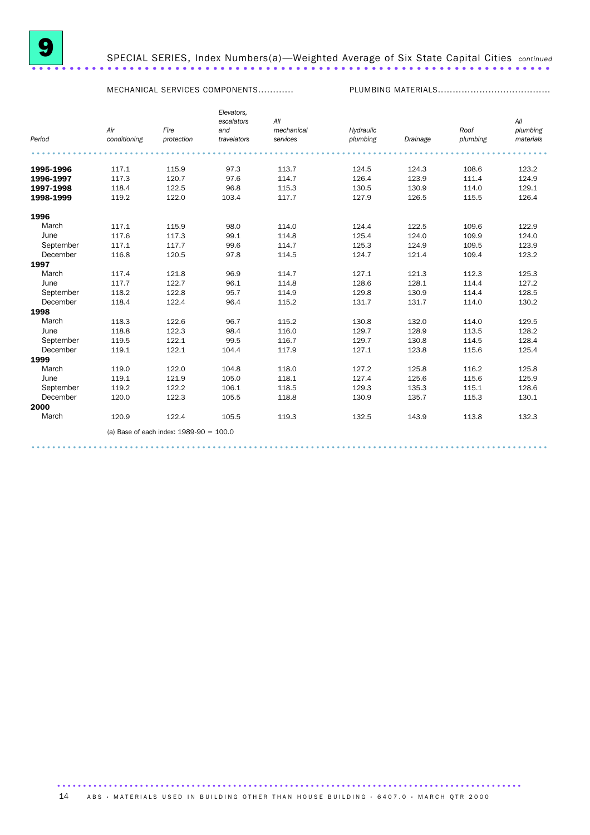

## 9 SPECIAL SERIES, Index Numbers(a)—Weighted Average of Six State Capital Cities *continued* SPECIAL SERIES, Index Numbers(a)—Weighted Average of Six State Capital Cities continued

MECHANICAL SERVICES COMPONENTS............ PLUMBING MATERIALS......................................

|           |              |                                           | Elevators,<br>escalators | All        |           |          |          | All       |
|-----------|--------------|-------------------------------------------|--------------------------|------------|-----------|----------|----------|-----------|
|           | Air          | Fire                                      | and                      | mechanical | Hydraulic |          | Roof     | plumbing  |
| Period    | conditioning | protection                                | travelators              | services   | plumbing  | Drainage | plumbing | materials |
|           |              |                                           |                          |            |           |          |          |           |
| 1995-1996 | 117.1        | 115.9                                     | 97.3                     | 113.7      | 124.5     | 124.3    | 108.6    | 123.2     |
| 1996-1997 | 117.3        | 120.7                                     | 97.6                     | 114.7      | 126.4     | 123.9    | 111.4    | 124.9     |
| 1997-1998 | 118.4        | 122.5                                     | 96.8                     | 115.3      | 130.5     | 130.9    | 114.0    | 129.1     |
| 1998-1999 | 119.2        | 122.0                                     | 103.4                    | 117.7      | 127.9     | 126.5    | 115.5    | 126.4     |
| 1996      |              |                                           |                          |            |           |          |          |           |
| March     | 117.1        | 115.9                                     | 98.0                     | 114.0      | 124.4     | 122.5    | 109.6    | 122.9     |
| June      | 117.6        | 117.3                                     | 99.1                     | 114.8      | 125.4     | 124.0    | 109.9    | 124.0     |
| September | 117.1        | 117.7                                     | 99.6                     | 114.7      | 125.3     | 124.9    | 109.5    | 123.9     |
| December  | 116.8        | 120.5                                     | 97.8                     | 114.5      | 124.7     | 121.4    | 109.4    | 123.2     |
| 1997      |              |                                           |                          |            |           |          |          |           |
| March     | 117.4        | 121.8                                     | 96.9                     | 114.7      | 127.1     | 121.3    | 112.3    | 125.3     |
| June      | 117.7        | 122.7                                     | 96.1                     | 114.8      | 128.6     | 128.1    | 114.4    | 127.2     |
| September | 118.2        | 122.8                                     | 95.7                     | 114.9      | 129.8     | 130.9    | 114.4    | 128.5     |
| December  | 118.4        | 122.4                                     | 96.4                     | 115.2      | 131.7     | 131.7    | 114.0    | 130.2     |
| 1998      |              |                                           |                          |            |           |          |          |           |
| March     | 118.3        | 122.6                                     | 96.7                     | 115.2      | 130.8     | 132.0    | 114.0    | 129.5     |
| June      | 118.8        | 122.3                                     | 98.4                     | 116.0      | 129.7     | 128.9    | 113.5    | 128.2     |
| September | 119.5        | 122.1                                     | 99.5                     | 116.7      | 129.7     | 130.8    | 114.5    | 128.4     |
| December  | 119.1        | 122.1                                     | 104.4                    | 117.9      | 127.1     | 123.8    | 115.6    | 125.4     |
| 1999      |              |                                           |                          |            |           |          |          |           |
| March     | 119.0        | 122.0                                     | 104.8                    | 118.0      | 127.2     | 125.8    | 116.2    | 125.8     |
| June      | 119.1        | 121.9                                     | 105.0                    | 118.1      | 127.4     | 125.6    | 115.6    | 125.9     |
| September | 119.2        | 122.2                                     | 106.1                    | 118.5      | 129.3     | 135.3    | 115.1    | 128.6     |
| December  | 120.0        | 122.3                                     | 105.5                    | 118.8      | 130.9     | 135.7    | 115.3    | 130.1     |
| 2000      |              |                                           |                          |            |           |          |          |           |
| March     | 120.9        | 122.4                                     | 105.5                    | 119.3      | 132.5     | 143.9    | 113.8    | 132.3     |
|           |              | (a) Base of each index: $1989-90 = 100.0$ |                          |            |           |          |          |           |
|           |              |                                           |                          |            |           |          |          |           |

....................................................................................................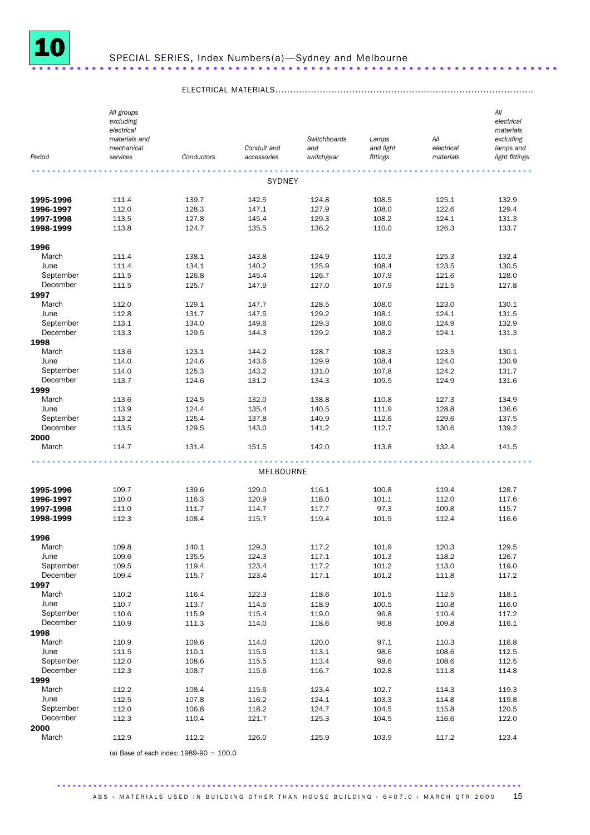

|                        | All groups<br>excluding<br>electrical   |                |                            |                                   |                                |                                | All<br>electrical<br>materials           |
|------------------------|-----------------------------------------|----------------|----------------------------|-----------------------------------|--------------------------------|--------------------------------|------------------------------------------|
| Period                 | materials and<br>mechanical<br>services | Conductors     | Conduit and<br>accessories | Switchboards<br>and<br>switchgear | Lamps<br>and light<br>fittings | All<br>electrical<br>materials | excluding<br>lamps and<br>light fittings |
|                        |                                         |                |                            |                                   |                                |                                |                                          |
|                        |                                         |                | SYDNEY                     |                                   |                                |                                |                                          |
| 1995-1996              | 111.4                                   | 139.7          | 142.5                      | 124.8                             | 108.5                          | 125.1                          | 132.9                                    |
| 1996-1997              | 112.0                                   | 128.3          | 147.1                      | 127.9                             | 108.0                          | 122.6                          | 129.4                                    |
| 1997-1998              | 113.5                                   | 127.8          | 145.4                      | 129.3                             | 108.2                          | 124.1                          | 131.3                                    |
| 1998-1999              | 113.8                                   | 124.7          | 135.5                      | 136.2                             | 110.0                          | 126.3                          | 133.7                                    |
| 1996                   |                                         |                |                            |                                   |                                |                                |                                          |
| March                  | 111.4                                   | 138.1          | 143.8                      | 124.9                             | 110.3                          | 125.3                          | 132.4                                    |
| June                   | 111.4                                   | 134.1          | 140.2                      | 125.9                             | 108.4                          | 123.5                          | 130.5                                    |
| September              | 111.5                                   | 126.8          | 145.4                      | 126.7                             | 107.9                          | 121.6                          | 128.0                                    |
| December               | 111.5                                   | 125.7          | 147.9                      | 127.0                             | 107.9                          | 121.5                          | 127.8                                    |
| 1997                   |                                         |                |                            |                                   |                                |                                |                                          |
| March                  | 112.0                                   | 129.1          | 147.7                      | 128.5                             | 108.0                          | 123.0                          | 130.1                                    |
| June                   | 112.8                                   | 131.7          | 147.5                      | 129.2                             | 108.1                          | 124.1                          | 131.5                                    |
| September              | 113.1                                   | 134.0          | 149.6                      | 129.3                             | 108.0                          | 124.9                          | 132.9                                    |
| December               | 113.3                                   | 129.5          | 144.3                      | 129.2                             | 108.2                          | 124.1                          | 131.3                                    |
| 1998                   |                                         |                |                            |                                   |                                |                                |                                          |
| March                  | 113.6                                   | 123.1          | 144.2                      | 128.7                             | 108.3                          | 123.5                          | 130.1                                    |
| June                   | 114.0                                   | 124.6          | 143.6                      | 129.9                             | 108.4                          | 124.0                          | 130.9                                    |
| September<br>December  | 114.0<br>113.7                          | 125.3<br>124.6 | 143.2<br>131.2             | 131.0<br>134.3                    | 107.8<br>109.5                 | 124.2<br>124.9                 | 131.7<br>131.6                           |
| 1999                   |                                         |                |                            |                                   |                                |                                |                                          |
| March                  | 113.6                                   | 124.5          | 132.0                      | 138.8                             | 110.8                          | 127.3                          | 134.9                                    |
| June                   | 113.9                                   | 124.4          | 135.4                      | 140.5                             | 111.9                          | 128.8                          | 136.6                                    |
| September              | 113.2                                   | 125.4          | 137.8                      | 140.9                             | 112.6                          | 129.6                          | 137.5                                    |
| December               | 113.5                                   | 129.5          | 143.0                      | 141.2                             | 112.7                          | 130.6                          | 139.2                                    |
| 2000                   |                                         |                |                            |                                   |                                |                                |                                          |
| March                  | 114.7                                   | 131.4          | 151.5                      | 142.0                             | 113.8                          | 132.4                          | 141.5                                    |
|                        |                                         |                | MELBOURNE                  |                                   |                                |                                |                                          |
|                        |                                         |                |                            |                                   |                                |                                |                                          |
| 1995-1996              | 109.7                                   | 139.6          | 129.0                      | 116.1                             | 100.8                          | 119.4                          | 128.7                                    |
| 1996-1997              | 110.0                                   | 116.3          | 120.9                      | 118.0                             | 101.1                          | 112.0                          | 117.6                                    |
| 1997-1998<br>1998-1999 | 111.0                                   | 111.7<br>108.4 | 114.7                      | 117.7<br>119.4                    | 97.3<br>101.9                  | 109.8                          | 115.7                                    |
|                        | 112.3                                   |                | 115.7                      |                                   |                                | 112.4                          | 116.6                                    |
| 1996                   |                                         |                |                            |                                   |                                |                                |                                          |
| March                  | 109.8                                   | 140.1          | 129.3                      | 117.2                             | 101.9                          | 120.3                          | 129.5                                    |
| June                   | 109.6                                   | 135.5          | 124.3                      | 117.1                             | 101.3                          | 118.2                          | 126.7                                    |
| September              | 109.5                                   | 119.4          | 123.4                      | 117.2                             | 101.2                          | 113.0                          | 119.0                                    |
| December               | 109.4                                   | 115.7          | 123.4                      | 117.1                             | 101.2                          | 111.8                          | 117.2                                    |
| 1997                   |                                         |                |                            |                                   |                                |                                |                                          |
| March                  | 110.2                                   | 116.4          | 122.3                      | 118.6                             | 101.5                          | 112.5                          | 118.1                                    |
| June                   | 110.7                                   | 113.7          | 114.5                      | 118.9                             | 100.5                          | 110.8                          | 116.0                                    |
| September              | 110.6                                   | 115.9          | 115.4                      | 119.0                             | 96.8                           | 110.4                          | 117.2                                    |
| December               | 110.9                                   | 111.3          | 114.0                      | 118.6                             | 96.8                           | 109.8                          | 116.1                                    |
| 1998                   |                                         |                |                            |                                   |                                |                                |                                          |
| March<br>June          | 110.9<br>111.5                          | 109.6<br>110.1 | 114.0<br>115.5             | 120.0<br>113.1                    | 97.1<br>98.6                   | 110.3<br>108.6                 | 116.8<br>112.5                           |
| September              | 112.0                                   | 108.6          | 115.5                      | 113.4                             | 98.6                           | 108.6                          | 112.5                                    |
| December               | 112.3                                   | 108.7          | 115.6                      | 116.7                             | 102.8                          | 111.8                          | 114.8                                    |
| 1999                   |                                         |                |                            |                                   |                                |                                |                                          |
| March                  | 112.2                                   | 108.4          | 115.6                      | 123.4                             | 102.7                          | 114.3                          | 119.3                                    |
| June                   | 112.5                                   | 107.8          | 116.2                      | 124.1                             | 103.3                          | 114.8                          | 119.8                                    |
| September              | 112.0                                   | 106.8          | 118.2                      | 124.7                             | 104.5                          | 115.8                          | 120.5                                    |
| December               | 112.3                                   | 110.4          | 121.7                      | 125.3                             | 104.5                          | 116.6                          | 122.0                                    |
| 2000                   |                                         |                |                            |                                   |                                |                                |                                          |
| March                  | 112.9                                   | 112.2          | 126.0                      | 125.9                             | 103.9                          | 117.2                          | 123.4                                    |

## ELECTRICAL MATERIALS.......................................................................................

(a) Base of each index: 1989-90 = 100.0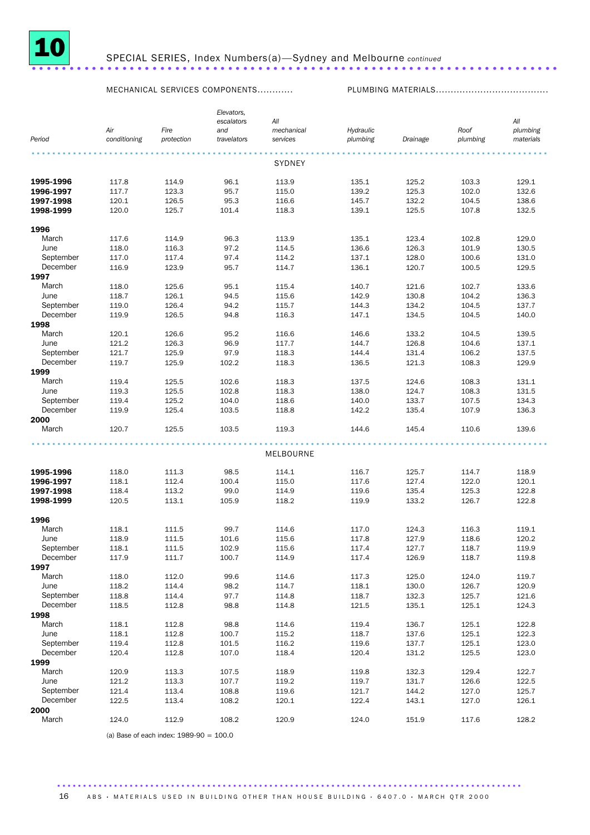

MECHANICAL SERVICES COMPONENTS............ PLUMBING MATERIALS......................................

|           |                     |                    | Elevators,         |                        |                       |          |                  |                       |
|-----------|---------------------|--------------------|--------------------|------------------------|-----------------------|----------|------------------|-----------------------|
|           |                     |                    | escalators         | All                    |                       |          |                  | All                   |
| Period    | Air<br>conditioning | Fire<br>protection | and<br>travelators | mechanical<br>services | Hydraulic<br>plumbing |          | Roof<br>plumbing | plumbing<br>materials |
|           |                     |                    |                    |                        |                       | Drainage |                  |                       |
|           |                     |                    |                    | <b>SYDNEY</b>          |                       |          |                  |                       |
| 1995-1996 | 117.8               | 114.9              | 96.1               | 113.9                  | 135.1                 | 125.2    | 103.3            | 129.1                 |
| 1996-1997 | 117.7               | 123.3              | 95.7               | 115.0                  | 139.2                 | 125.3    | 102.0            | 132.6                 |
| 1997-1998 | 120.1               | 126.5              | 95.3               | 116.6                  | 145.7                 | 132.2    | 104.5            | 138.6                 |
| 1998-1999 | 120.0               | 125.7              | 101.4              | 118.3                  | 139.1                 | 125.5    | 107.8            | 132.5                 |
| 1996      |                     |                    |                    |                        |                       |          |                  |                       |
| March     | 117.6               | 114.9              | 96.3               | 113.9                  | 135.1                 | 123.4    | 102.8            | 129.0                 |
| June      | 118.0               | 116.3              | 97.2               | 114.5                  | 136.6                 | 126.3    | 101.9            | 130.5                 |
| September | 117.0               | 117.4              | 97.4               | 114.2                  | 137.1                 | 128.0    | 100.6            | 131.0                 |
| December  | 116.9               | 123.9              | 95.7               | 114.7                  | 136.1                 | 120.7    | 100.5            | 129.5                 |
| 1997      |                     |                    |                    |                        |                       |          |                  |                       |
| March     | 118.0               | 125.6              | 95.1               | 115.4                  | 140.7                 | 121.6    | 102.7            | 133.6                 |
| June      | 118.7               | 126.1              | 94.5               | 115.6                  | 142.9                 | 130.8    | 104.2            | 136.3                 |
| September | 119.0               | 126.4              | 94.2               | 115.7                  | 144.3                 | 134.2    | 104.5            | 137.7                 |
| December  | 119.9               | 126.5              | 94.8               | 116.3                  | 147.1                 | 134.5    | 104.5            | 140.0                 |
| 1998      |                     |                    |                    |                        |                       |          |                  |                       |
| March     | 120.1               | 126.6              | 95.2               | 116.6                  | 146.6                 | 133.2    | 104.5            | 139.5                 |
| June      | 121.2               | 126.3              | 96.9               | 117.7                  | 144.7                 | 126.8    | 104.6            | 137.1                 |
| September | 121.7               | 125.9              | 97.9               | 118.3                  | 144.4                 | 131.4    | 106.2            | 137.5                 |
| December  | 119.7               | 125.9              | 102.2              | 118.3                  | 136.5                 | 121.3    | 108.3            | 129.9                 |
| 1999      |                     |                    |                    |                        |                       |          |                  |                       |
| March     | 119.4               | 125.5              | 102.6              | 118.3                  | 137.5                 | 124.6    | 108.3            | 131.1                 |
| June      | 119.3               | 125.5              | 102.8              | 118.3                  | 138.0                 | 124.7    | 108.3            | 131.5                 |
| September | 119.4               | 125.2              | 104.0              | 118.6                  | 140.0                 | 133.7    | 107.5            | 134.3                 |
| December  | 119.9               | 125.4              | 103.5              | 118.8                  | 142.2                 | 135.4    | 107.9            | 136.3                 |
| 2000      |                     |                    |                    |                        |                       |          |                  |                       |
| March     | 120.7               | 125.5              | 103.5              | 119.3                  | 144.6                 | 145.4    | 110.6            | 139.6                 |
|           |                     |                    |                    |                        |                       |          |                  |                       |
|           |                     |                    |                    | MELBOURNE              |                       |          |                  |                       |
| 1995-1996 | 118.0               | 111.3              | 98.5               | 114.1                  | 116.7                 | 125.7    | 114.7            | 118.9                 |
| 1996-1997 | 118.1               | 112.4              | 100.4              | 115.0                  | 117.6                 | 127.4    | 122.0            | 120.1                 |
| 1997-1998 | 118.4               | 113.2              | 99.0               | 114.9                  | 119.6                 | 135.4    | 125.3            | 122.8                 |
| 1998-1999 | 120.5               | 113.1              | 105.9              | 118.2                  | 119.9                 | 133.2    | 126.7            | 122.8                 |
| 1996      |                     |                    |                    |                        |                       |          |                  |                       |
| March     | 118.1               | 111.5              | 99.7               | 114.6                  | 117.0                 | 124.3    | 116.3            | 119.1                 |
| June      | 118.9               | 111.5              | 101.6              | 115.6                  | 117.8                 | 127.9    | 118.6            | 120.2                 |
| September | 118.1               | 111.5              | 102.9              | 115.6                  | 117.4                 | 127.7    | 118.7            | 119.9                 |
| December  | 117.9               | 111.7              | 100.7              | 114.9                  | 117.4                 | 126.9    | 118.7            | 119.8                 |
| 1997      |                     |                    |                    |                        |                       |          |                  |                       |
| March     | 118.0               | 112.0              | 99.6               | 114.6                  | 117.3                 | 125.0    | 124.0            | 119.7                 |
| June      | 118.2               | 114.4              | 98.2               | 114.7                  | 118.1                 | 130.0    | 126.7            | 120.9                 |
| September | 118.8               | 114.4              | 97.7               | 114.8                  | 118.7                 | 132.3    | 125.7            | 121.6                 |
| December  | 118.5               | 112.8              | 98.8               | 114.8                  | 121.5                 | 135.1    | 125.1            | 124.3                 |
| 1998      |                     |                    |                    |                        |                       |          |                  |                       |
| March     | 118.1               | 112.8              | 98.8               | 114.6                  | 119.4                 | 136.7    | 125.1            | 122.8                 |
| June      | 118.1               | 112.8              | 100.7              | 115.2                  | 118.7                 | 137.6    | 125.1            | 122.3                 |
| September | 119.4               | 112.8              | 101.5              | 116.2                  | 119.6                 | 137.7    | 125.1            | 123.0                 |
| December  | 120.4               | 112.8              | 107.0              | 118.4                  | 120.4                 | 131.2    | 125.5            | 123.0                 |
| 1999      |                     |                    |                    |                        |                       |          |                  |                       |
| March     | 120.9               | 113.3              | 107.5              | 118.9                  | 119.8                 | 132.3    | 129.4            | 122.7                 |
| June      | 121.2               | 113.3              | 107.7              | 119.2                  | 119.7                 | 131.7    | 126.6            | 122.5                 |
| September | 121.4               | 113.4              | 108.8              | 119.6                  | 121.7                 | 144.2    | 127.0            | 125.7                 |
| December  | 122.5               | 113.4              | 108.2              | 120.1                  | 122.4                 | 143.1    | 127.0            | 126.1                 |
| 2000      |                     |                    |                    |                        |                       |          |                  |                       |
| March     | 124.0               | 112.9              | 108.2              | 120.9                  | 124.0                 | 151.9    | 117.6            | 128.2                 |
|           |                     |                    |                    |                        |                       |          |                  |                       |

(a) Base of each index: 1989-90 = 100.0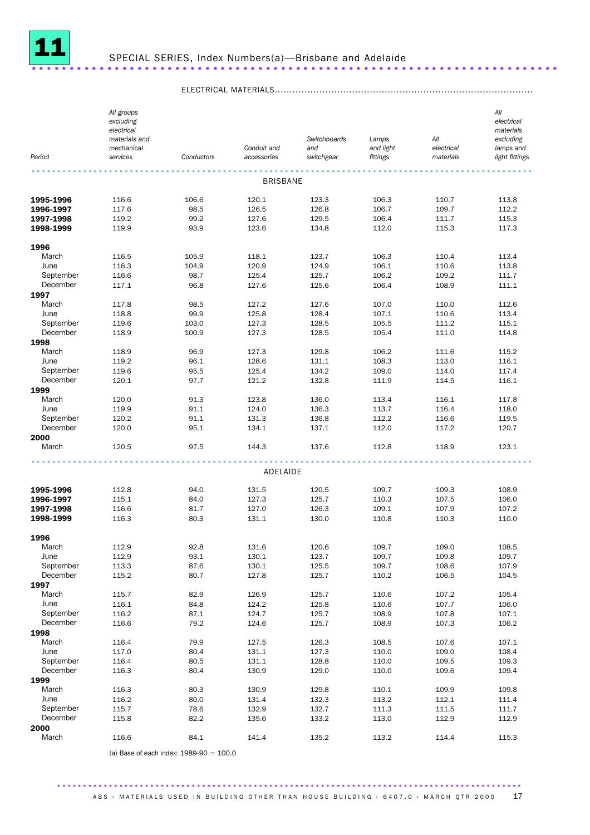

| Period                | All groups<br>excluding<br>electrical<br>materials and<br>mechanical<br>services | Conductors   | Conduit and<br>accessories | Switchboards<br>and<br>switchgear | Lamps<br>and light<br>fittings | All<br>electrical<br>materials | All<br>electrical<br>materials<br>excluding<br>lamps and<br>light fittings |
|-----------------------|----------------------------------------------------------------------------------|--------------|----------------------------|-----------------------------------|--------------------------------|--------------------------------|----------------------------------------------------------------------------|
|                       |                                                                                  |              | <b>BRISBANE</b>            |                                   |                                |                                |                                                                            |
| 1995-1996             | 116.6                                                                            | 106.6        | 120.1                      | 123.3                             | 106.3                          | 110.7                          | 113.8                                                                      |
| 1996-1997             | 117.6                                                                            | 98.5         | 126.5                      | 126.8                             | 106.7                          | 109.7                          | 112.2                                                                      |
| 1997-1998             | 119.2                                                                            | 99.2         | 127.6                      | 129.5                             | 106.4                          | 111.7                          | 115.3                                                                      |
| 1998-1999             | 119.9                                                                            | 93.9         | 123.6                      | 134.8                             | 112.0                          | 115.3                          | 117.3                                                                      |
| 1996                  |                                                                                  |              |                            |                                   |                                |                                |                                                                            |
| March                 | 116.5                                                                            | 105.9        | 118.1                      | 123.7                             | 106.3                          | 110.4                          | 113.4                                                                      |
| June                  | 116.3                                                                            | 104.9        | 120.9                      | 124.9                             | 106.1                          | 110.6                          | 113.8                                                                      |
| September             | 116.6                                                                            | 98.7         | 125.4                      | 125.7                             | 106.2                          | 109.2                          | 111.7                                                                      |
| December              | 117.1                                                                            | 96.8         | 127.6                      | 125.6                             | 106.4                          | 108.9                          | 111.1                                                                      |
| 1997                  |                                                                                  |              |                            |                                   |                                |                                |                                                                            |
| March                 | 117.8                                                                            | 98.5         | 127.2                      | 127.6                             | 107.0                          | 110.0                          | 112.6                                                                      |
| June                  | 118.8                                                                            | 99.9         | 125.8                      | 128.4                             | 107.1                          | 110.6                          | 113.4                                                                      |
| September             | 119.6                                                                            | 103.0        | 127.3                      | 128.5                             | 105.5                          | 111.2                          | 115.1                                                                      |
| December              | 118.9                                                                            | 100.9        | 127.3                      | 128.5                             | 105.4                          | 111.0                          | 114.8                                                                      |
| 1998<br>March         | 118.9                                                                            | 96.9         | 127.3                      | 129.8                             | 106.2                          | 111.6                          | 115.2                                                                      |
| June                  | 119.2                                                                            | 96.1         | 128.6                      | 131.1                             | 108.3                          | 113.0                          | 116.1                                                                      |
| September             | 119.6                                                                            | 95.5         | 125.4                      | 134.2                             | 109.0                          | 114.0                          | 117.4                                                                      |
| December              | 120.1                                                                            | 97.7         | 121.2                      | 132.8                             | 111.9                          | 114.5                          | 116.1                                                                      |
| 1999                  |                                                                                  |              |                            |                                   |                                |                                |                                                                            |
| March                 | 120.0                                                                            | 91.3         | 123.8                      | 136.0                             | 113.4                          | 116.1                          | 117.8                                                                      |
| June                  | 119.9                                                                            | 91.1         | 124.0                      | 136.3                             | 113.7                          | 116.4                          | 118.0                                                                      |
| September             | 120.2                                                                            | 91.1         | 131.3                      | 136.8                             | 112.2                          | 116.6                          | 119.5                                                                      |
| December              | 120.0                                                                            | 95.1         | 134.1                      | 137.1                             | 112.0                          | 117.2                          | 120.7                                                                      |
| 2000<br>March         | 120.5                                                                            | 97.5         | 144.3                      | 137.6                             | 112.8                          | 118.9                          | 123.1                                                                      |
|                       |                                                                                  |              |                            |                                   |                                |                                |                                                                            |
|                       |                                                                                  |              | ADELAIDE                   |                                   |                                |                                |                                                                            |
| 1995-1996             | 112.8                                                                            | 94.0         | 131.5                      | 120.5                             | 109.7                          | 109.3                          | 108.9                                                                      |
| 1996-1997             | 115.1                                                                            | 84.0         | 127.3                      | 125.7                             | 110.3                          | 107.5                          | 106.0                                                                      |
| 1997-1998             | 116.6                                                                            | 81.7         | 127.0                      | 126.3                             | 109.1                          | 107.9                          | 107.2                                                                      |
| 1998-1999             | 116.3                                                                            | 80.3         | 131.1                      | 130.0                             | 110.8                          | 110.3                          | 110.0                                                                      |
|                       |                                                                                  |              |                            |                                   |                                |                                |                                                                            |
| 1996                  |                                                                                  |              |                            |                                   |                                |                                |                                                                            |
| March<br>June         | 112.9<br>112.9                                                                   | 92.8<br>93.1 | 131.6<br>130.1             | 120.6<br>123.7                    | 109.7<br>109.7                 | 109.0<br>109.8                 | 108.5<br>109.7                                                             |
| September             | 113.3                                                                            | 87.6         | 130.1                      | 125.5                             | 109.7                          | 108.6                          | 107.9                                                                      |
| December              | 115.2                                                                            | 80.7         | 127.8                      | 125.7                             | 110.2                          | 106.5                          | 104.5                                                                      |
| 1997                  |                                                                                  |              |                            |                                   |                                |                                |                                                                            |
| March                 | 115.7                                                                            | 82.9         | 126.9                      | 125.7                             | 110.6                          | 107.2                          | 105.4                                                                      |
| June                  | 116.1                                                                            | 84.8         | 124.2                      | 125.8                             | 110.6                          | 107.7                          | 106.0                                                                      |
| September             | 116.2                                                                            | 87.1         | 124.7                      | 125.7                             | 108.9                          | 107.8                          | 107.1                                                                      |
| December              | 116.6                                                                            | 79.2         | 124.6                      | 125.7                             | 108.9                          | 107.3                          | 106.2                                                                      |
| 1998                  |                                                                                  |              |                            |                                   |                                |                                |                                                                            |
| March                 | 116.4                                                                            | 79.9         | 127.5                      | 126.3                             | 108.5                          | 107.6                          | 107.1                                                                      |
| June                  | 117.0                                                                            | 80.4         | 131.1                      | 127.3                             | 110.0                          | 109.0                          | 108.4                                                                      |
| September<br>December | 116.4                                                                            | 80.5         | 131.1                      | 128.8                             | 110.0                          | 109.5                          | 109.3                                                                      |
| 1999                  | 116.3                                                                            | 80.4         | 130.9                      | 129.0                             | 110.0                          | 109.6                          | 109.4                                                                      |
| March                 | 116.3                                                                            | 80.3         | 130.9                      | 129.8                             | 110.1                          | 109.9                          | 109.8                                                                      |
| June                  | 116.2                                                                            | 80.0         | 131.4                      | 132.3                             | 113.2                          | 112.1                          | 111.4                                                                      |
| September             | 115.7                                                                            | 78.6         | 132.9                      | 132.7                             | 111.3                          | 111.5                          | 111.7                                                                      |
| December              | 115.8                                                                            | 82.2         | 135.6                      | 133.2                             | 113.0                          | 112.9                          | 112.9                                                                      |
| 2000                  |                                                                                  |              |                            |                                   |                                |                                |                                                                            |
| March                 | 116.6                                                                            | 84.1         | 141.4                      | 135.2                             | 113.2                          | 114.4                          | 115.3                                                                      |

## ELECTRICAL MATERIALS.......................................................................................

(a) Base of each index: 1989-90 = 100.0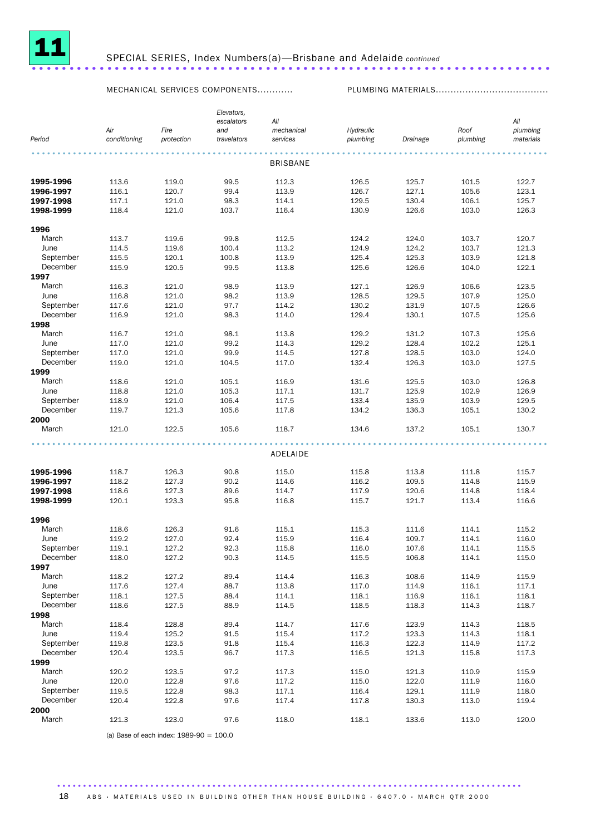

## SPECIAL SERIES, Index Numbers(a)—Brisbane and Adelaide *continued* .....................................................................

MECHANICAL SERVICES COMPONENTS............ PLUMBING MATERIALS......................................

|           |              |            | Elevators,  |                 |           |          |          |           |
|-----------|--------------|------------|-------------|-----------------|-----------|----------|----------|-----------|
|           |              |            | escalators  | All             |           |          |          | All       |
|           | Air          | Fire       | and         | mechanical      | Hydraulic |          | Roof     | plumbing  |
| Period    | conditioning | protection | travelators | services        | plumbing  | Drainage | plumbing | materials |
|           |              |            |             | <b>BRISBANE</b> |           |          |          |           |
|           |              |            |             |                 |           |          |          |           |
| 1995-1996 | 113.6        | 119.0      | 99.5        | 112.3           | 126.5     | 125.7    | 101.5    | 122.7     |
| 1996-1997 | 116.1        | 120.7      | 99.4        | 113.9           | 126.7     | 127.1    | 105.6    | 123.1     |
| 1997-1998 | 117.1        | 121.0      | 98.3        | 114.1           | 129.5     | 130.4    | 106.1    | 125.7     |
| 1998-1999 | 118.4        | 121.0      | 103.7       | 116.4           | 130.9     | 126.6    | 103.0    | 126.3     |
| 1996      |              |            |             |                 |           |          |          |           |
| March     | 113.7        | 119.6      | 99.8        | 112.5           | 124.2     | 124.0    | 103.7    | 120.7     |
| June      | 114.5        | 119.6      | 100.4       | 113.2           | 124.9     | 124.2    | 103.7    | 121.3     |
| September | 115.5        | 120.1      | 100.8       | 113.9           | 125.4     | 125.3    | 103.9    | 121.8     |
| December  | 115.9        | 120.5      | 99.5        | 113.8           | 125.6     | 126.6    | 104.0    | 122.1     |
| 1997      |              |            |             |                 |           |          |          |           |
| March     | 116.3        | 121.0      | 98.9        | 113.9           | 127.1     | 126.9    | 106.6    | 123.5     |
| June      | 116.8        | 121.0      | 98.2        | 113.9           | 128.5     | 129.5    | 107.9    | 125.0     |
| September | 117.6        | 121.0      | 97.7        | 114.2           | 130.2     | 131.9    | 107.5    | 126.6     |
| December  | 116.9        | 121.0      | 98.3        | 114.0           | 129.4     | 130.1    | 107.5    | 125.6     |
| 1998      |              |            |             |                 |           |          |          |           |
| March     | 116.7        | 121.0      | 98.1        | 113.8           | 129.2     | 131.2    | 107.3    | 125.6     |
| June      | 117.0        |            | 99.2        |                 | 129.2     | 128.4    | 102.2    | 125.1     |
|           |              | 121.0      |             | 114.3           |           |          |          |           |
| September | 117.0        | 121.0      | 99.9        | 114.5           | 127.8     | 128.5    | 103.0    | 124.0     |
| December  | 119.0        | 121.0      | 104.5       | 117.0           | 132.4     | 126.3    | 103.0    | 127.5     |
| 1999      |              |            |             |                 |           |          |          |           |
| March     | 118.6        | 121.0      | 105.1       | 116.9           | 131.6     | 125.5    | 103.0    | 126.8     |
| June      | 118.8        | 121.0      | 105.3       | 117.1           | 131.7     | 125.9    | 102.9    | 126.9     |
| September | 118.9        | 121.0      | 106.4       | 117.5           | 133.4     | 135.9    | 103.9    | 129.5     |
| December  | 119.7        | 121.3      | 105.6       | 117.8           | 134.2     | 136.3    | 105.1    | 130.2     |
| 2000      |              |            |             |                 |           |          |          |           |
| March     | 121.0        | 122.5      | 105.6       | 118.7           | 134.6     | 137.2    | 105.1    | 130.7     |
|           |              |            |             |                 |           |          |          |           |
|           |              |            |             | ADELAIDE        |           |          |          |           |
| 1995-1996 | 118.7        | 126.3      | 90.8        | 115.0           | 115.8     | 113.8    | 111.8    | 115.7     |
| 1996-1997 | 118.2        | 127.3      | 90.2        | 114.6           | 116.2     | 109.5    | 114.8    | 115.9     |
| 1997-1998 | 118.6        | 127.3      | 89.6        | 114.7           | 117.9     | 120.6    | 114.8    | 118.4     |
| 1998-1999 | 120.1        | 123.3      | 95.8        | 116.8           | 115.7     | 121.7    | 113.4    | 116.6     |
|           |              |            |             |                 |           |          |          |           |
| 1996      |              |            |             |                 |           |          |          |           |
| March     | 118.6        | 126.3      | 91.6        | 115.1           | 115.3     | 111.6    | 114.1    | 115.2     |
| June      | 119.2        | 127.0      | 92.4        | 115.9           | 116.4     | 109.7    | 114.1    | 116.0     |
| September | 119.1        | 127.2      | 92.3        | 115.8           | 116.0     | 107.6    | 114.1    | 115.5     |
| December  | 118.0        | 127.2      | 90.3        | 114.5           | 115.5     | 106.8    | 114.1    | 115.0     |
| 1997      |              |            |             |                 |           |          |          |           |
| March     | 118.2        | 127.2      | 89.4        | 114.4           | 116.3     | 108.6    | 114.9    | 115.9     |
| June      | 117.6        | 127.4      | 88.7        | 113.8           | 117.0     | 114.9    | 116.1    | 117.1     |
| September | 118.1        | 127.5      | 88.4        | 114.1           | 118.1     | 116.9    | 116.1    | 118.1     |
| December  | 118.6        | 127.5      | 88.9        | 114.5           | 118.5     | 118.3    | 114.3    | 118.7     |
| 1998      |              |            |             |                 |           |          |          |           |
| March     | 118.4        | 128.8      | 89.4        | 114.7           | 117.6     | 123.9    | 114.3    | 118.5     |
| June      | 119.4        | 125.2      | 91.5        | 115.4           | 117.2     | 123.3    | 114.3    | 118.1     |
| September | 119.8        | 123.5      | 91.8        | 115.4           | 116.3     | 122.3    | 114.9    | 117.2     |
| December  | 120.4        | 123.5      | 96.7        | 117.3           | 116.5     | 121.3    | 115.8    | 117.3     |
| 1999      |              |            |             |                 |           |          |          |           |
| March     | 120.2        | 123.5      | 97.2        | 117.3           | 115.0     | 121.3    | 110.9    | 115.9     |
| June      | 120.0        | 122.8      | 97.6        | 117.2           | 115.0     | 122.0    | 111.9    | 116.0     |
| September | 119.5        | 122.8      | 98.3        | 117.1           | 116.4     | 129.1    | 111.9    | 118.0     |
| December  | 120.4        | 122.8      | 97.6        | 117.4           | 117.8     | 130.3    | 113.0    | 119.4     |
| 2000      |              |            |             |                 |           |          |          |           |
| March     | 121.3        | 123.0      | 97.6        | 118.0           | 118.1     | 133.6    | 113.0    | 120.0     |

(a) Base of each index:  $1989-90 = 100.0$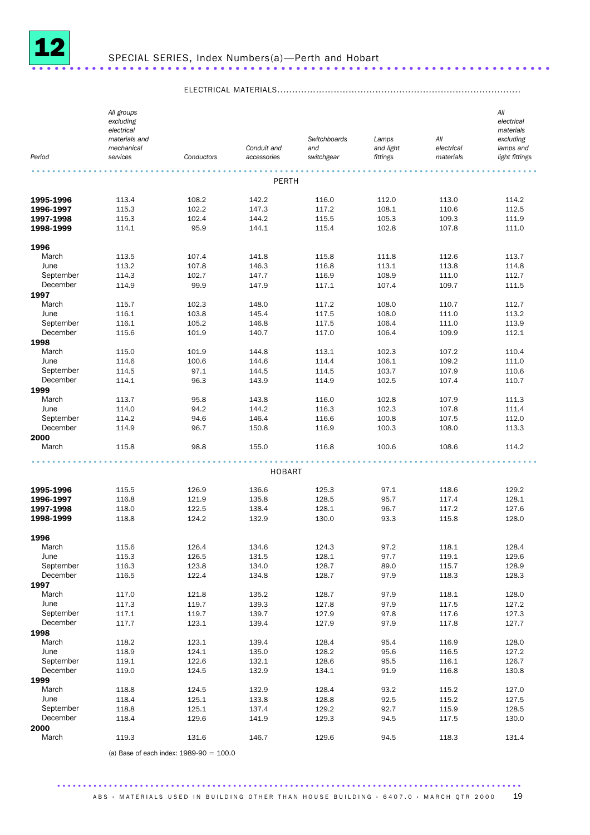

## SPECIAL SERIES, Index Numbers(a)—Perth and Hobart .....................................................................

ELECTRICAL MATERIALS..................................................................................

| Period           | All groups<br>excluding<br>electrical<br>materials and<br>mechanical<br>services | Conductors     | Conduit and<br>accessories | Switchboards<br>and<br>switchgear | Lamps<br>and light<br>fittings | All<br>electrical<br>materials | All<br>electrical<br>materials<br>excluding<br>lamps and<br>light fittings |
|------------------|----------------------------------------------------------------------------------|----------------|----------------------------|-----------------------------------|--------------------------------|--------------------------------|----------------------------------------------------------------------------|
|                  |                                                                                  |                | PERTH                      |                                   |                                |                                |                                                                            |
| 1995-1996        | 113.4                                                                            | 108.2          | 142.2                      | 116.0                             | 112.0                          | 113.0                          | 114.2                                                                      |
| 1996-1997        | 115.3                                                                            | 102.2          | 147.3                      | 117.2                             | 108.1                          | 110.6                          | 112.5                                                                      |
| 1997-1998        | 115.3                                                                            | 102.4          | 144.2                      | 115.5                             | 105.3                          | 109.3                          | 111.9                                                                      |
| 1998-1999        | 114.1                                                                            | 95.9           | 144.1                      | 115.4                             | 102.8                          | 107.8                          | 111.0                                                                      |
| 1996             |                                                                                  |                |                            |                                   |                                |                                |                                                                            |
| March            | 113.5                                                                            | 107.4          | 141.8                      | 115.8                             | 111.8                          | 112.6                          | 113.7                                                                      |
| June             | 113.2                                                                            | 107.8          | 146.3                      | 116.8                             | 113.1                          | 113.8                          | 114.8                                                                      |
| September        | 114.3                                                                            | 102.7          | 147.7                      | 116.9                             | 108.9                          | 111.0                          | 112.7                                                                      |
| December         | 114.9                                                                            | 99.9           | 147.9                      | 117.1                             | 107.4                          | 109.7                          | 111.5                                                                      |
| 1997             |                                                                                  |                |                            |                                   |                                |                                |                                                                            |
| March            | 115.7                                                                            | 102.3          | 148.0                      | 117.2                             | 108.0                          | 110.7                          | 112.7                                                                      |
| June             | 116.1                                                                            | 103.8          | 145.4                      | 117.5                             | 108.0                          | 111.0                          | 113.2                                                                      |
| September        | 116.1                                                                            | 105.2          | 146.8                      | 117.5                             | 106.4                          | 111.0                          | 113.9                                                                      |
| December<br>1998 | 115.6                                                                            | 101.9          | 140.7                      | 117.0                             | 106.4                          | 109.9                          | 112.1                                                                      |
| March            | 115.0                                                                            | 101.9          | 144.8                      | 113.1                             | 102.3                          | 107.2                          | 110.4                                                                      |
| June             | 114.6                                                                            | 100.6          | 144.6                      | 114.4                             | 106.1                          | 109.2                          | 111.0                                                                      |
| September        | 114.5                                                                            | 97.1           | 144.5                      | 114.5                             | 103.7                          | 107.9                          | 110.6                                                                      |
| December         | 114.1                                                                            | 96.3           | 143.9                      | 114.9                             | 102.5                          | 107.4                          | 110.7                                                                      |
| 1999             |                                                                                  |                |                            |                                   |                                |                                |                                                                            |
| March            | 113.7                                                                            | 95.8           | 143.8                      | 116.0                             | 102.8                          | 107.9                          | 111.3                                                                      |
| June             | 114.0                                                                            | 94.2           | 144.2                      | 116.3                             | 102.3                          | 107.8                          | 111.4                                                                      |
| September        | 114.2                                                                            | 94.6           | 146.4                      | 116.6                             | 100.8                          | 107.5                          | 112.0                                                                      |
| December         | 114.9                                                                            | 96.7           | 150.8                      | 116.9                             | 100.3                          | 108.0                          | 113.3                                                                      |
| 2000<br>March    | 115.8                                                                            | 98.8           | 155.0                      | 116.8                             | 100.6                          | 108.6                          | 114.2                                                                      |
|                  |                                                                                  |                | <b>HOBART</b>              |                                   |                                |                                |                                                                            |
|                  |                                                                                  |                |                            |                                   |                                |                                |                                                                            |
| 1995-1996        | 115.5                                                                            | 126.9          | 136.6                      | 125.3                             | 97.1                           | 118.6                          | 129.2                                                                      |
| 1996-1997        | 116.8                                                                            | 121.9          | 135.8                      | 128.5                             | 95.7                           | 117.4                          | 128.1                                                                      |
| 1997-1998        | 118.0                                                                            | 122.5          | 138.4                      | 128.1<br>130.0                    | 96.7<br>93.3                   | 117.2                          | 127.6<br>128.0                                                             |
| 1998-1999        | 118.8                                                                            | 124.2          | 132.9                      |                                   |                                | 115.8                          |                                                                            |
| 1996             |                                                                                  |                |                            |                                   |                                |                                |                                                                            |
| March            | 115.6                                                                            | 126.4          | 134.6                      | 124.3                             | 97.2                           | 118.1                          | 128.4                                                                      |
| June             | 115.3                                                                            | 126.5          | 131.5                      | 128.1                             | 97.7                           | 119.1                          | 129.6                                                                      |
| September        | 116.3                                                                            | 123.8          | 134.0                      | 128.7                             | 89.0                           | 115.7                          | 128.9                                                                      |
| December         | 116.5                                                                            | 122.4          | 134.8                      | 128.7                             | 97.9                           | 118.3                          | 128.3                                                                      |
| 1997             |                                                                                  |                |                            |                                   |                                |                                |                                                                            |
| March<br>June    | 117.0<br>117.3                                                                   | 121.8<br>119.7 | 135.2<br>139.3             | 128.7<br>127.8                    | 97.9<br>97.9                   | 118.1<br>117.5                 | 128.0<br>127.2                                                             |
| September        | 117.1                                                                            | 119.7          | 139.7                      | 127.9                             | 97.8                           | 117.6                          | 127.3                                                                      |
| December         | 117.7                                                                            | 123.1          | 139.4                      | 127.9                             | 97.9                           | 117.8                          | 127.7                                                                      |
| 1998             |                                                                                  |                |                            |                                   |                                |                                |                                                                            |
| March            | 118.2                                                                            | 123.1          | 139.4                      | 128.4                             | 95.4                           | 116.9                          | 128.0                                                                      |
| June             | 118.9                                                                            | 124.1          | 135.0                      | 128.2                             | 95.6                           | 116.5                          | 127.2                                                                      |
| September        | 119.1                                                                            | 122.6          | 132.1                      | 128.6                             | 95.5                           | 116.1                          | 126.7                                                                      |
| December         | 119.0                                                                            | 124.5          | 132.9                      | 134.1                             | 91.9                           | 116.8                          | 130.8                                                                      |
| 1999             |                                                                                  |                |                            |                                   |                                |                                |                                                                            |
| March            | 118.8                                                                            | 124.5          | 132.9                      | 128.4                             | 93.2                           | 115.2                          | 127.0                                                                      |
| June             | 118.4                                                                            | 125.1          | 133.8                      | 128.8                             | 92.5                           | 115.2                          | 127.5                                                                      |
| September        | 118.8                                                                            | 125.1          | 137.4                      | 129.2                             | 92.7                           | 115.9                          | 128.5                                                                      |
| December         | 118.4                                                                            | 129.6          | 141.9                      | 129.3                             | 94.5                           | 117.5                          | 130.0                                                                      |
| 2000             |                                                                                  |                |                            |                                   |                                |                                |                                                                            |
| March            | 119.3                                                                            | 131.6          | 146.7                      | 129.6                             | 94.5                           | 118.3                          | 131.4                                                                      |

(a) Base of each index: 1989-90 = 100.0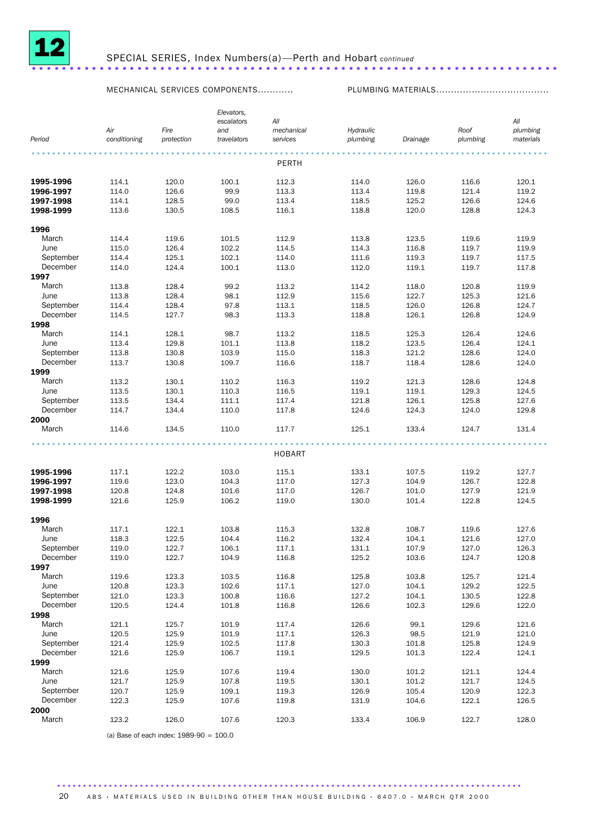

### SPECIAL SERIES, Index Numbers(a)—Perth and Hobart *continued* ......................................................................

MECHANICAL SERVICES COMPONENTS............ PLUMBING MATERIALS......................................

|           |              |            | Elevators,  |               |           |          |          |           |
|-----------|--------------|------------|-------------|---------------|-----------|----------|----------|-----------|
|           |              |            | escalators  | All           |           |          |          | All       |
|           | Air          | Fire       | and         | mechanical    | Hydraulic |          | Roof     | plumbing  |
| Period    | conditioning | protection | travelators | services      | plumbing  | Drainage | plumbing | materials |
|           |              |            |             |               |           |          |          |           |
|           |              |            |             | PERTH         |           |          |          |           |
|           |              |            |             |               |           |          |          |           |
| 1995-1996 | 114.1        | 120.0      | 100.1       | 112.3         | 114.0     | 126.0    | 116.6    | 120.1     |
| 1996-1997 | 114.0        | 126.6      | 99.9        | 113.3         | 113.4     | 119.8    | 121.4    | 119.2     |
| 1997-1998 | 114.1        | 128.5      | 99.0        | 113.4         | 118.5     | 125.2    | 126.6    | 124.6     |
| 1998-1999 | 113.6        | 130.5      | 108.5       | 116.1         | 118.8     | 120.0    | 128.8    | 124.3     |
|           |              |            |             |               |           |          |          |           |
| 1996      |              |            |             |               |           |          |          |           |
| March     | 114.4        | 119.6      | 101.5       | 112.9         | 113.8     | 123.5    | 119.6    | 119.9     |
| June      | 115.0        | 126.4      | 102.2       | 114.5         | 114.3     | 116.8    | 119.7    | 119.9     |
| September | 114.4        | 125.1      | 102.1       | 114.0         | 111.6     | 119.3    | 119.7    | 117.5     |
| December  | 114.0        | 124.4      | 100.1       | 113.0         | 112.0     | 119.1    | 119.7    | 117.8     |
| 1997      |              |            |             |               |           |          |          |           |
| March     | 113.8        | 128.4      | 99.2        | 113.2         | 114.2     | 118.0    | 120.8    | 119.9     |
| June      | 113.8        | 128.4      | 98.1        | 112.9         | 115.6     | 122.7    | 125.3    | 121.6     |
| September | 114.4        | 128.4      | 97.8        | 113.1         | 118.5     | 126.0    | 126.8    | 124.7     |
| December  | 114.5        | 127.7      | 98.3        | 113.3         | 118.8     | 126.1    | 126.8    | 124.9     |
| 1998      |              |            |             |               |           |          |          |           |
| March     | 114.1        | 128.1      | 98.7        | 113.2         | 118.5     | 125.3    | 126.4    | 124.6     |
| June      | 113.4        | 129.8      | 101.1       | 113.8         | 118.2     | 123.5    | 126.4    | 124.1     |
| September | 113.8        | 130.8      | 103.9       | 115.0         | 118.3     | 121.2    | 128.6    | 124.0     |
| December  | 113.7        | 130.8      | 109.7       | 116.6         | 118.7     | 118.4    | 128.6    | 124.0     |
| 1999      |              |            |             |               |           |          |          |           |
| March     | 113.2        | 130.1      | 110.2       | 116.3         | 119.2     | 121.3    | 128.6    | 124.8     |
| June      | 113.5        | 130.1      | 110.3       | 116.5         | 119.1     | 119.1    | 129.3    | 124.5     |
| September | 113.5        | 134.4      | 111.1       | 117.4         | 121.8     | 126.1    | 125.8    | 127.6     |
| December  | 114.7        | 134.4      | 110.0       | 117.8         | 124.6     | 124.3    | 124.0    | 129.8     |
| 2000      |              |            |             |               |           |          |          |           |
| March     | 114.6        | 134.5      | 110.0       | 117.7         | 125.1     | 133.4    | 124.7    | 131.4     |
|           |              |            |             |               |           |          |          |           |
|           |              |            |             | <b>HOBART</b> |           |          |          |           |
|           |              |            |             |               |           |          |          |           |
| 1995-1996 | 117.1        | 122.2      | 103.0       | 115.1         | 133.1     | 107.5    | 119.2    | 127.7     |
| 1996-1997 | 119.6        | 123.0      | 104.3       | 117.0         | 127.3     | 104.9    | 126.7    | 122.8     |
| 1997-1998 | 120.8        | 124.8      | 101.6       | 117.0         | 126.7     | 101.0    | 127.9    | 121.9     |
| 1998-1999 | 121.6        | 125.9      | 106.2       | 119.0         | 130.0     | 101.4    | 122.8    | 124.5     |
|           |              |            |             |               |           |          |          |           |
| 1996      |              |            |             |               |           |          |          |           |
| March     | 117.1        | 122.1      | 103.8       | 115.3         | 132.8     | 108.7    | 119.6    | 127.6     |
| June      | 118.3        | 122.5      | 104.4       | 116.2         | 132.4     | 104.1    | 121.6    | 127.0     |
| September | 119.0        | 122.7      | 106.1       | 117.1         | 131.1     | 107.9    | 127.0    | 126.3     |
| December  | 119.0        | 122.7      | 104.9       | 116.8         | 125.2     | 103.6    | 124.7    | 120.8     |
| 1997      |              |            |             |               |           |          |          |           |
| March     | 119.6        | 123.3      | 103.5       | 116.8         | 125.8     | 103.8    | 125.7    | 121.4     |
| June      | 120.8        | 123.3      | 102.6       | 117.1         | 127.0     | 104.1    | 129.2    | 122.5     |
| September | 121.0        | 123.3      | 100.8       | 116.6         | 127.2     | 104.1    | 130.5    | 122.8     |
| December  | 120.5        | 124.4      | 101.8       | 116.8         | 126.6     | 102.3    | 129.6    | 122.0     |
| 1998      |              |            |             |               |           |          |          |           |
| March     | 121.1        | 125.7      | 101.9       | 117.4         | 126.6     | 99.1     | 129.6    | 121.6     |
| June      | 120.5        | 125.9      | 101.9       | 117.1         | 126.3     | 98.5     | 121.9    | 121.0     |
| September | 121.4        | 125.9      | 102.5       | 117.8         | 130.3     | 101.8    | 125.8    | 124.9     |
| December  | 121.6        | 125.9      | 106.7       | 119.1         | 129.5     | 101.3    | 122.4    | 124.1     |
| 1999      |              |            |             |               |           |          |          |           |
| March     | 121.6        | 125.9      | 107.6       | 119.4         | 130.0     | 101.2    | 121.1    | 124.4     |
| June      | 121.7        | 125.9      | 107.8       | 119.5         | 130.1     | 101.2    | 121.7    | 124.5     |
| September | 120.7        | 125.9      | 109.1       | 119.3         | 126.9     | 105.4    | 120.9    | 122.3     |
| December  | 122.3        | 125.9      | 107.6       | 119.8         | 131.9     | 104.6    | 122.1    | 126.5     |
| 2000      |              |            |             |               |           |          |          |           |
| March     | 123.2        | 126.0      | 107.6       | 120.3         | 133.4     | 106.9    | 122.7    | 128.0     |
|           |              |            |             |               |           |          |          |           |

(a) Base of each index:  $1989-90 = 100.0$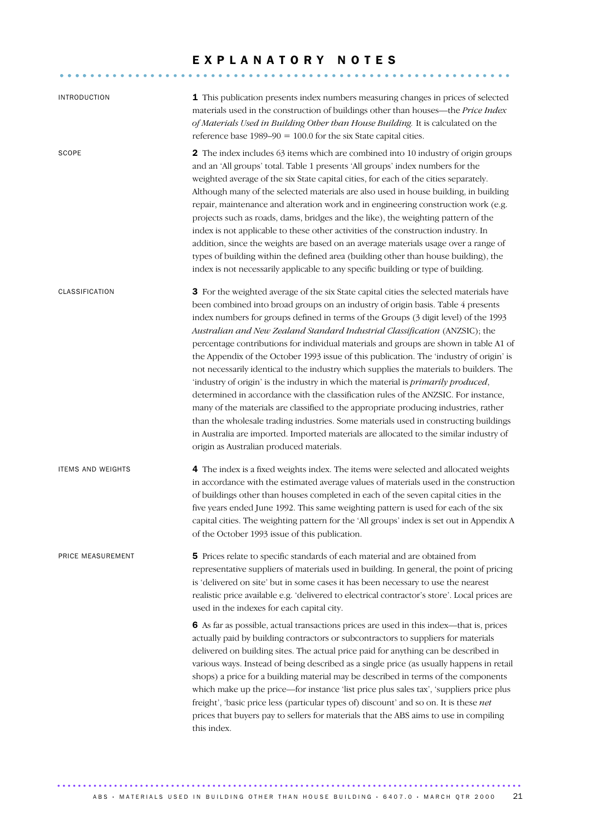## EXPLANATORY NOTES

............................................................ ....

| <b>INTRODUCTION</b>      | 1 This publication presents index numbers measuring changes in prices of selected<br>materials used in the construction of buildings other than houses-the Price Index<br>of Materials Used in Building Other than House Building. It is calculated on the<br>reference base $1989-90 = 100.0$ for the six State capital cities.                                                                                                                                                                                                                                                                                                                                                                                                                                                                                                                                                                                                                                                                                                                                                                                                          |
|--------------------------|-------------------------------------------------------------------------------------------------------------------------------------------------------------------------------------------------------------------------------------------------------------------------------------------------------------------------------------------------------------------------------------------------------------------------------------------------------------------------------------------------------------------------------------------------------------------------------------------------------------------------------------------------------------------------------------------------------------------------------------------------------------------------------------------------------------------------------------------------------------------------------------------------------------------------------------------------------------------------------------------------------------------------------------------------------------------------------------------------------------------------------------------|
| <b>SCOPE</b>             | 2 The index includes 63 items which are combined into 10 industry of origin groups<br>and an 'All groups' total. Table 1 presents 'All groups' index numbers for the<br>weighted average of the six State capital cities, for each of the cities separately.<br>Although many of the selected materials are also used in house building, in building<br>repair, maintenance and alteration work and in engineering construction work (e.g.<br>projects such as roads, dams, bridges and the like), the weighting pattern of the<br>index is not applicable to these other activities of the construction industry. In<br>addition, since the weights are based on an average materials usage over a range of<br>types of building within the defined area (building other than house building), the<br>index is not necessarily applicable to any specific building or type of building.                                                                                                                                                                                                                                                  |
| CLASSIFICATION           | 3 For the weighted average of the six State capital cities the selected materials have<br>been combined into broad groups on an industry of origin basis. Table 4 presents<br>index numbers for groups defined in terms of the Groups (3 digit level) of the 1993<br>Australian and New Zealand Standard Industrial Classification (ANZSIC); the<br>percentage contributions for individual materials and groups are shown in table A1 of<br>the Appendix of the October 1993 issue of this publication. The 'industry of origin' is<br>not necessarily identical to the industry which supplies the materials to builders. The<br>'industry of origin' is the industry in which the material is <i>primarily produced</i> ,<br>determined in accordance with the classification rules of the ANZSIC. For instance,<br>many of the materials are classified to the appropriate producing industries, rather<br>than the wholesale trading industries. Some materials used in constructing buildings<br>in Australia are imported. Imported materials are allocated to the similar industry of<br>origin as Australian produced materials. |
| <b>ITEMS AND WEIGHTS</b> | 4 The index is a fixed weights index. The items were selected and allocated weights<br>in accordance with the estimated average values of materials used in the construction<br>of buildings other than houses completed in each of the seven capital cities in the<br>five years ended June 1992. This same weighting pattern is used for each of the six<br>capital cities. The weighting pattern for the 'All groups' index is set out in Appendix A<br>of the October 1993 issue of this publication.                                                                                                                                                                                                                                                                                                                                                                                                                                                                                                                                                                                                                                 |
| PRICE MEASUREMENT        | 5 Prices relate to specific standards of each material and are obtained from<br>representative suppliers of materials used in building. In general, the point of pricing<br>is 'delivered on site' but in some cases it has been necessary to use the nearest<br>realistic price available e.g. 'delivered to electrical contractor's store'. Local prices are<br>used in the indexes for each capital city.                                                                                                                                                                                                                                                                                                                                                                                                                                                                                                                                                                                                                                                                                                                              |
|                          | 6 As far as possible, actual transactions prices are used in this index—that is, prices<br>actually paid by building contractors or subcontractors to suppliers for materials<br>delivered on building sites. The actual price paid for anything can be described in<br>various ways. Instead of being described as a single price (as usually happens in retail<br>shops) a price for a building material may be described in terms of the components<br>which make up the price—for instance 'list price plus sales tax', 'suppliers price plus<br>freight', 'basic price less (particular types of) discount' and so on. It is these net<br>prices that buyers pay to sellers for materials that the ABS aims to use in compiling<br>this index.                                                                                                                                                                                                                                                                                                                                                                                       |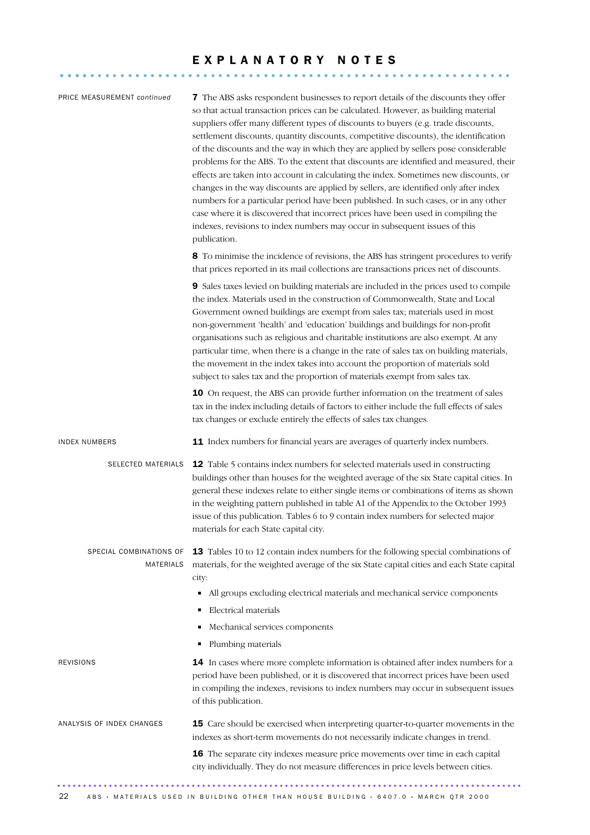# E X P L A N A T O R Y N O T E S ............................................................ ....

| PRICE MEASUREMENT continued          | <b>7</b> The ABS asks respondent businesses to report details of the discounts they offer<br>so that actual transaction prices can be calculated. However, as building material<br>suppliers offer many different types of discounts to buyers (e.g. trade discounts,<br>settlement discounts, quantity discounts, competitive discounts), the identification<br>of the discounts and the way in which they are applied by sellers pose considerable<br>problems for the ABS. To the extent that discounts are identified and measured, their<br>effects are taken into account in calculating the index. Sometimes new discounts, or<br>changes in the way discounts are applied by sellers, are identified only after index<br>numbers for a particular period have been published. In such cases, or in any other<br>case where it is discovered that incorrect prices have been used in compiling the<br>indexes, revisions to index numbers may occur in subsequent issues of this<br>publication. |
|--------------------------------------|---------------------------------------------------------------------------------------------------------------------------------------------------------------------------------------------------------------------------------------------------------------------------------------------------------------------------------------------------------------------------------------------------------------------------------------------------------------------------------------------------------------------------------------------------------------------------------------------------------------------------------------------------------------------------------------------------------------------------------------------------------------------------------------------------------------------------------------------------------------------------------------------------------------------------------------------------------------------------------------------------------|
|                                      | 8 To minimise the incidence of revisions, the ABS has stringent procedures to verify<br>that prices reported in its mail collections are transactions prices net of discounts.                                                                                                                                                                                                                                                                                                                                                                                                                                                                                                                                                                                                                                                                                                                                                                                                                          |
|                                      | 9 Sales taxes levied on building materials are included in the prices used to compile<br>the index. Materials used in the construction of Commonwealth, State and Local<br>Government owned buildings are exempt from sales tax; materials used in most<br>non-government 'health' and 'education' buildings and buildings for non-profit<br>organisations such as religious and charitable institutions are also exempt. At any<br>particular time, when there is a change in the rate of sales tax on building materials,<br>the movement in the index takes into account the proportion of materials sold<br>subject to sales tax and the proportion of materials exempt from sales tax.                                                                                                                                                                                                                                                                                                             |
|                                      | 10 On request, the ABS can provide further information on the treatment of sales<br>tax in the index including details of factors to either include the full effects of sales<br>tax changes or exclude entirely the effects of sales tax changes.                                                                                                                                                                                                                                                                                                                                                                                                                                                                                                                                                                                                                                                                                                                                                      |
| <b>INDEX NUMBERS</b>                 | 11 Index numbers for financial years are averages of quarterly index numbers.                                                                                                                                                                                                                                                                                                                                                                                                                                                                                                                                                                                                                                                                                                                                                                                                                                                                                                                           |
| SELECTED MATERIALS                   | 12 Table 5 contains index numbers for selected materials used in constructing<br>buildings other than houses for the weighted average of the six State capital cities. In<br>general these indexes relate to either single items or combinations of items as shown<br>in the weighting pattern published in table A1 of the Appendix to the October 1993<br>issue of this publication. Tables 6 to 9 contain index numbers for selected major<br>materials for each State capital city.                                                                                                                                                                                                                                                                                                                                                                                                                                                                                                                 |
| SPECIAL COMBINATIONS OF<br>MATERIALS | 13 Tables 10 to 12 contain index numbers for the following special combinations of<br>materials, for the weighted average of the six State capital cities and each State capital<br>city:                                                                                                                                                                                                                                                                                                                                                                                                                                                                                                                                                                                                                                                                                                                                                                                                               |
|                                      | All groups excluding electrical materials and mechanical service components<br>٠                                                                                                                                                                                                                                                                                                                                                                                                                                                                                                                                                                                                                                                                                                                                                                                                                                                                                                                        |
|                                      | Electrical materials                                                                                                                                                                                                                                                                                                                                                                                                                                                                                                                                                                                                                                                                                                                                                                                                                                                                                                                                                                                    |
|                                      | Mechanical services components<br>Ξ                                                                                                                                                                                                                                                                                                                                                                                                                                                                                                                                                                                                                                                                                                                                                                                                                                                                                                                                                                     |
|                                      | Plumbing materials                                                                                                                                                                                                                                                                                                                                                                                                                                                                                                                                                                                                                                                                                                                                                                                                                                                                                                                                                                                      |
| <b>REVISIONS</b>                     | 14 In cases where more complete information is obtained after index numbers for a<br>period have been published, or it is discovered that incorrect prices have been used<br>in compiling the indexes, revisions to index numbers may occur in subsequent issues<br>of this publication.                                                                                                                                                                                                                                                                                                                                                                                                                                                                                                                                                                                                                                                                                                                |
| ANALYSIS OF INDEX CHANGES            | 15 Care should be exercised when interpreting quarter-to-quarter movements in the<br>indexes as short-term movements do not necessarily indicate changes in trend.                                                                                                                                                                                                                                                                                                                                                                                                                                                                                                                                                                                                                                                                                                                                                                                                                                      |
|                                      | <b>16</b> The separate city indexes measure price movements over time in each capital<br>city individually. They do not measure differences in price levels between cities.                                                                                                                                                                                                                                                                                                                                                                                                                                                                                                                                                                                                                                                                                                                                                                                                                             |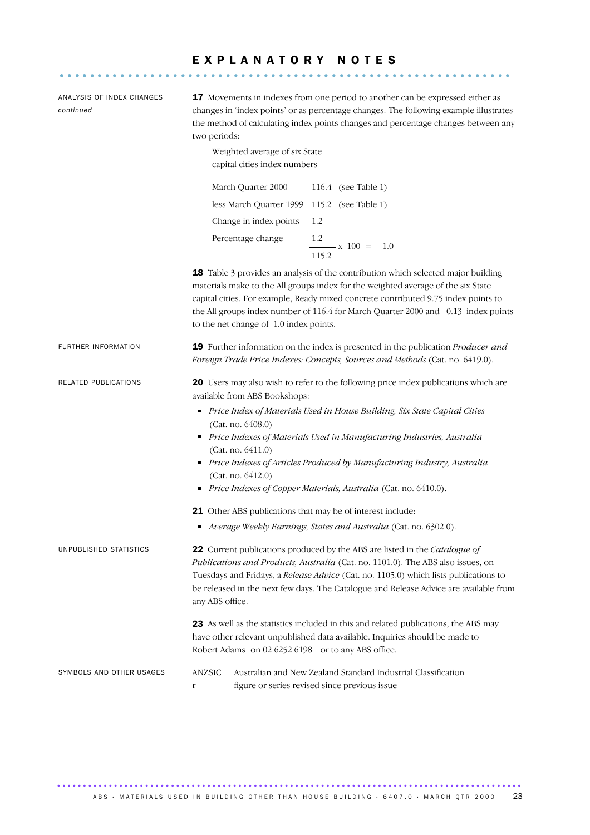# E X P L A N A T O R Y N O T E S ............................................................ ....

ANALYSIS OF INDEX CHANGES *continued* 17 Movements in indexes from one period to another can be expressed either as changes in 'index points' or as percentage changes. The following example illustrates the method of calculating index points changes and percentage changes between any two periods: Weighted average of six State capital cities index numbers — March Quarter 2000 116.4 (see Table 1) less March Quarter 1999 115.2 (see Table 1) Change in index points 1.2 Percentage change  $x 100 = 1.0$  115.2 18 Table 3 provides an analysis of the contribution which selected major building materials make to the All groups index for the weighted average of the six State capital cities. For example, Ready mixed concrete contributed 9.75 index points to the All groups index number of 116.4 for March Quarter 2000 and –0.13 index points to the net change of 1.0 index points. FURTHER INFORMATION 19 Further information on the index is presented in the publication *Producer and Foreign Trade Price Indexes: Concepts, Sources and Methods* (Cat. no. 6419.0). RELATED PUBLICATIONS 20 Users may also wish to refer to the following price index publications which are available from ABS Bookshops: *Price Index of Materials Used in House Building, Six State Capital Cities*  (Cat. no. 6408.0) *Price Indexes of Materials Used in Manufacturing Industries, Australia* (Cat. no. 6411.0) *Price Indexes of Articles Produced by Manufacturing Industry, Australia* (Cat. no. 6412.0) *Price Indexes of Copper Materials, Australia* (Cat. no. 6410.0). 21 Other ABS publications that may be of interest include: *Average Weekly Earnings, States and Australia* (Cat. no. 6302.0). UNPUBLISHED STATISTICS 22 Current publications produced by the ABS are listed in the *Catalogue of Publications and Products, Australia* (Cat. no. 1101.0). The ABS also issues, on Tuesdays and Fridays, a *Release Advice* (Cat. no. 1105.0) which lists publications to be released in the next few days. The Catalogue and Release Advice are available from any ABS office. 23 As well as the statistics included in this and related publications, the ABS may have other relevant unpublished data available. Inquiries should be made to Robert Adams on 02 6252 6198 or to any ABS office. SYMBOLS AND OTHER USAGES ANZSIC Australian and New Zealand Standard Industrial Classification r figure or series revised since previous issue